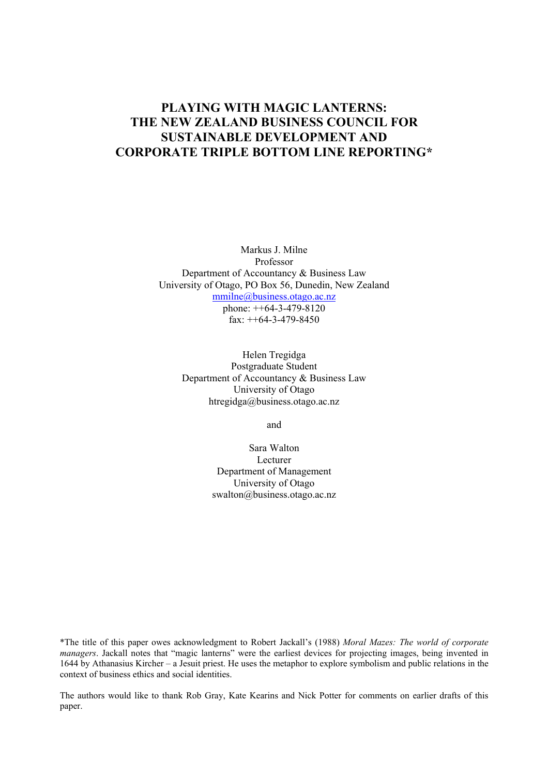# **PLAYING WITH MAGIC LANTERNS: THE NEW ZEALAND BUSINESS COUNCIL FOR SUSTAINABLE DEVELOPMENT AND CORPORATE TRIPLE BOTTOM LINE REPORTING\***

Markus J. Milne Professor Department of Accountancy & Business Law University of Otago, PO Box 56, Dunedin, New Zealand mmilne@business.otago.ac.nz phone: ++64-3-479-8120

fax: ++64-3-479-8450

Helen Tregidga Postgraduate Student Department of Accountancy & Business Law University of Otago htregidga@business.otago.ac.nz

and

Sara Walton Lecturer Department of Management University of Otago swalton@business.otago.ac.nz

\*The title of this paper owes acknowledgment to Robert Jackall's (1988) *Moral Mazes: The world of corporate managers*. Jackall notes that "magic lanterns" were the earliest devices for projecting images, being invented in 1644 by Athanasius Kircher – a Jesuit priest. He uses the metaphor to explore symbolism and public relations in the context of business ethics and social identities.

The authors would like to thank Rob Gray, Kate Kearins and Nick Potter for comments on earlier drafts of this paper.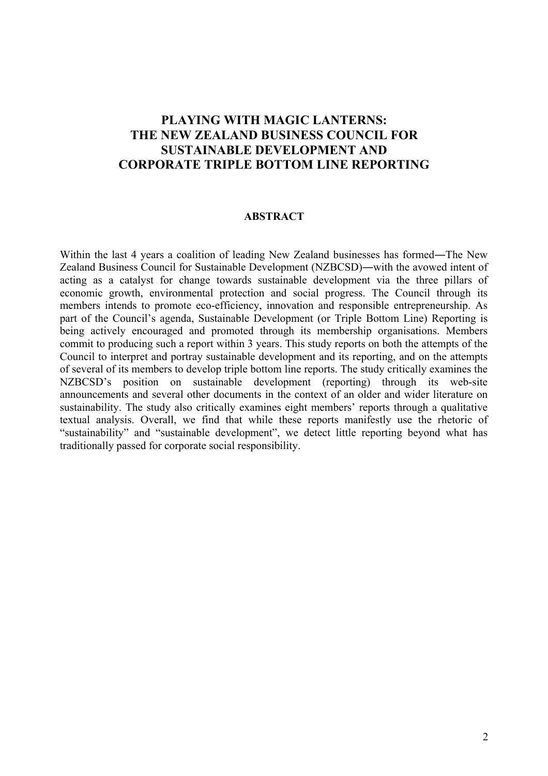# **PLAYING WITH MAGIC LANTERNS: THE NEW ZEALAND BUSINESS COUNCIL FOR SUSTAINABLE DEVELOPMENT AND CORPORATE TRIPLE BOTTOM LINE REPORTING**

#### **ABSTRACT**

Within the last 4 years a coalition of leading New Zealand businesses has formed―The New Zealand Business Council for Sustainable Development (NZBCSD)―with the avowed intent of acting as a catalyst for change towards sustainable development via the three pillars of economic growth, environmental protection and social progress. The Council through its members intends to promote eco-efficiency, innovation and responsible entrepreneurship. As part of the Council's agenda, Sustainable Development (or Triple Bottom Line) Reporting is being actively encouraged and promoted through its membership organisations. Members commit to producing such a report within 3 years. This study reports on both the attempts of the Council to interpret and portray sustainable development and its reporting, and on the attempts of several of its members to develop triple bottom line reports. The study critically examines the NZBCSD's position on sustainable development (reporting) through its web-site announcements and several other documents in the context of an older and wider literature on sustainability. The study also critically examines eight members' reports through a qualitative textual analysis. Overall, we find that while these reports manifestly use the rhetoric of "sustainability" and "sustainable development", we detect little reporting beyond what has traditionally passed for corporate social responsibility.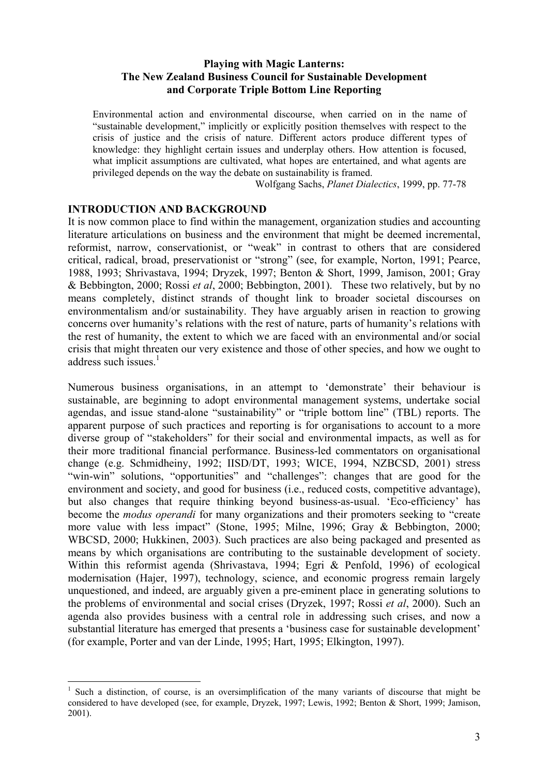### **Playing with Magic Lanterns: The New Zealand Business Council for Sustainable Development and Corporate Triple Bottom Line Reporting**

Environmental action and environmental discourse, when carried on in the name of "sustainable development," implicitly or explicitly position themselves with respect to the crisis of justice and the crisis of nature. Different actors produce different types of knowledge: they highlight certain issues and underplay others. How attention is focused, what implicit assumptions are cultivated, what hopes are entertained, and what agents are privileged depends on the way the debate on sustainability is framed.

Wolfgang Sachs, *Planet Dialectics*, 1999, pp. 77-78

## **INTRODUCTION AND BACKGROUND**

 $\overline{a}$ 

It is now common place to find within the management, organization studies and accounting literature articulations on business and the environment that might be deemed incremental, reformist, narrow, conservationist, or "weak" in contrast to others that are considered critical, radical, broad, preservationist or "strong" (see, for example, Norton, 1991; Pearce, 1988, 1993; Shrivastava, 1994; Dryzek, 1997; Benton & Short, 1999, Jamison, 2001; Gray & Bebbington, 2000; Rossi *et al*, 2000; Bebbington, 2001). These two relatively, but by no means completely, distinct strands of thought link to broader societal discourses on environmentalism and/or sustainability. They have arguably arisen in reaction to growing concerns over humanity's relations with the rest of nature, parts of humanity's relations with the rest of humanity, the extent to which we are faced with an environmental and/or social crisis that might threaten our very existence and those of other species, and how we ought to address such issues. $1$ 

Numerous business organisations, in an attempt to 'demonstrate' their behaviour is sustainable, are beginning to adopt environmental management systems, undertake social agendas, and issue stand-alone "sustainability" or "triple bottom line" (TBL) reports. The apparent purpose of such practices and reporting is for organisations to account to a more diverse group of "stakeholders" for their social and environmental impacts, as well as for their more traditional financial performance. Business-led commentators on organisational change (e.g. Schmidheiny, 1992; IISD/DT, 1993; WICE, 1994, NZBCSD, 2001) stress "win-win" solutions, "opportunities" and "challenges": changes that are good for the environment and society, and good for business (i.e., reduced costs, competitive advantage), but also changes that require thinking beyond business-as-usual. 'Eco-efficiency' has become the *modus operandi* for many organizations and their promoters seeking to "create more value with less impact" (Stone, 1995; Milne, 1996; Gray & Bebbington, 2000; WBCSD, 2000; Hukkinen, 2003). Such practices are also being packaged and presented as means by which organisations are contributing to the sustainable development of society. Within this reformist agenda (Shrivastava, 1994; Egri & Penfold, 1996) of ecological modernisation (Hajer, 1997), technology, science, and economic progress remain largely unquestioned, and indeed, are arguably given a pre-eminent place in generating solutions to the problems of environmental and social crises (Dryzek, 1997; Rossi *et al*, 2000). Such an agenda also provides business with a central role in addressing such crises, and now a substantial literature has emerged that presents a 'business case for sustainable development' (for example, Porter and van der Linde, 1995; Hart, 1995; Elkington, 1997).

<sup>&</sup>lt;sup>1</sup> Such a distinction, of course, is an oversimplification of the many variants of discourse that might be considered to have developed (see, for example, Dryzek, 1997; Lewis, 1992; Benton & Short, 1999; Jamison, 2001).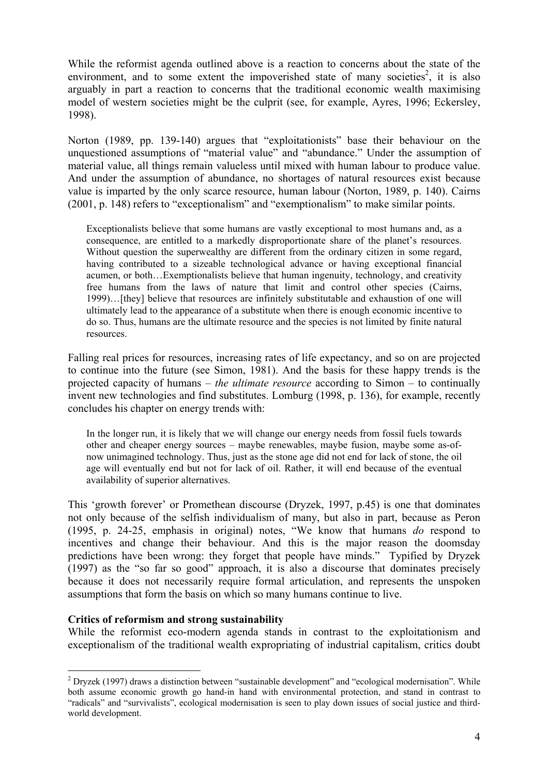While the reformist agenda outlined above is a reaction to concerns about the state of the environment, and to some extent the impoverished state of many societies<sup>2</sup>, it is also arguably in part a reaction to concerns that the traditional economic wealth maximising model of western societies might be the culprit (see, for example, Ayres, 1996; Eckersley, 1998).

Norton (1989, pp. 139-140) argues that "exploitationists" base their behaviour on the unquestioned assumptions of "material value" and "abundance." Under the assumption of material value, all things remain valueless until mixed with human labour to produce value. And under the assumption of abundance, no shortages of natural resources exist because value is imparted by the only scarce resource, human labour (Norton, 1989, p. 140). Cairns (2001, p. 148) refers to "exceptionalism" and "exemptionalism" to make similar points.

Exceptionalists believe that some humans are vastly exceptional to most humans and, as a consequence, are entitled to a markedly disproportionate share of the planet's resources. Without question the superwealthy are different from the ordinary citizen in some regard, having contributed to a sizeable technological advance or having exceptional financial acumen, or both…Exemptionalists believe that human ingenuity, technology, and creativity free humans from the laws of nature that limit and control other species (Cairns, 1999)…[they] believe that resources are infinitely substitutable and exhaustion of one will ultimately lead to the appearance of a substitute when there is enough economic incentive to do so. Thus, humans are the ultimate resource and the species is not limited by finite natural resources.

Falling real prices for resources, increasing rates of life expectancy, and so on are projected to continue into the future (see Simon, 1981). And the basis for these happy trends is the projected capacity of humans – *the ultimate resource* according to Simon – to continually invent new technologies and find substitutes. Lomburg (1998, p. 136), for example, recently concludes his chapter on energy trends with:

In the longer run, it is likely that we will change our energy needs from fossil fuels towards other and cheaper energy sources – maybe renewables, maybe fusion, maybe some as-ofnow unimagined technology. Thus, just as the stone age did not end for lack of stone, the oil age will eventually end but not for lack of oil. Rather, it will end because of the eventual availability of superior alternatives.

This 'growth forever' or Promethean discourse (Dryzek, 1997, p.45) is one that dominates not only because of the selfish individualism of many, but also in part, because as Peron (1995, p. 24-25, emphasis in original) notes, "We know that humans *do* respond to incentives and change their behaviour. And this is the major reason the doomsday predictions have been wrong: they forget that people have minds." Typified by Dryzek (1997) as the "so far so good" approach, it is also a discourse that dominates precisely because it does not necessarily require formal articulation, and represents the unspoken assumptions that form the basis on which so many humans continue to live.

#### **Critics of reformism and strong sustainability**

 $\overline{a}$ 

While the reformist eco-modern agenda stands in contrast to the exploitationism and exceptionalism of the traditional wealth expropriating of industrial capitalism, critics doubt

 $2$  Dryzek (1997) draws a distinction between "sustainable development" and "ecological modernisation". While both assume economic growth go hand-in hand with environmental protection, and stand in contrast to "radicals" and "survivalists", ecological modernisation is seen to play down issues of social justice and thirdworld development.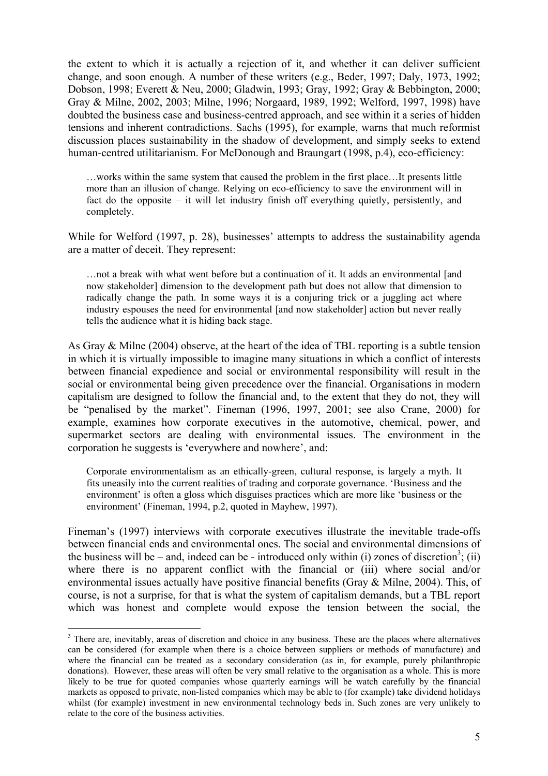the extent to which it is actually a rejection of it, and whether it can deliver sufficient change, and soon enough. A number of these writers (e.g., Beder, 1997; Daly, 1973, 1992; Dobson, 1998; Everett & Neu, 2000; Gladwin, 1993; Gray, 1992; Gray & Bebbington, 2000; Gray & Milne, 2002, 2003; Milne, 1996; Norgaard, 1989, 1992; Welford, 1997, 1998) have doubted the business case and business-centred approach, and see within it a series of hidden tensions and inherent contradictions. Sachs (1995), for example, warns that much reformist discussion places sustainability in the shadow of development, and simply seeks to extend human-centred utilitarianism. For McDonough and Braungart (1998, p.4), eco-efficiency:

…works within the same system that caused the problem in the first place…It presents little more than an illusion of change. Relying on eco-efficiency to save the environment will in fact do the opposite – it will let industry finish off everything quietly, persistently, and completely.

While for Welford (1997, p. 28), businesses' attempts to address the sustainability agenda are a matter of deceit. They represent:

…not a break with what went before but a continuation of it. It adds an environmental [and now stakeholder] dimension to the development path but does not allow that dimension to radically change the path. In some ways it is a conjuring trick or a juggling act where industry espouses the need for environmental [and now stakeholder] action but never really tells the audience what it is hiding back stage.

As Gray  $\&$  Milne (2004) observe, at the heart of the idea of TBL reporting is a subtle tension in which it is virtually impossible to imagine many situations in which a conflict of interests between financial expedience and social or environmental responsibility will result in the social or environmental being given precedence over the financial. Organisations in modern capitalism are designed to follow the financial and, to the extent that they do not, they will be "penalised by the market". Fineman (1996, 1997, 2001; see also Crane, 2000) for example, examines how corporate executives in the automotive, chemical, power, and supermarket sectors are dealing with environmental issues. The environment in the corporation he suggests is 'everywhere and nowhere', and:

Corporate environmentalism as an ethically-green, cultural response, is largely a myth. It fits uneasily into the current realities of trading and corporate governance. 'Business and the environment' is often a gloss which disguises practices which are more like 'business or the environment' (Fineman, 1994, p.2, quoted in Mayhew, 1997).

Fineman's (1997) interviews with corporate executives illustrate the inevitable trade-offs between financial ends and environmental ones. The social and environmental dimensions of the business will be – and, indeed can be - introduced only within (i) zones of discretion<sup>3</sup>; (ii) where there is no apparent conflict with the financial or (iii) where social and/or environmental issues actually have positive financial benefits (Gray & Milne, 2004). This, of course, is not a surprise, for that is what the system of capitalism demands, but a TBL report which was honest and complete would expose the tension between the social, the

 $\overline{a}$ 

 $3$  There are, inevitably, areas of discretion and choice in any business. These are the places where alternatives can be considered (for example when there is a choice between suppliers or methods of manufacture) and where the financial can be treated as a secondary consideration (as in, for example, purely philanthropic donations). However, these areas will often be very small relative to the organisation as a whole. This is more likely to be true for quoted companies whose quarterly earnings will be watch carefully by the financial markets as opposed to private, non-listed companies which may be able to (for example) take dividend holidays whilst (for example) investment in new environmental technology beds in. Such zones are very unlikely to relate to the core of the business activities.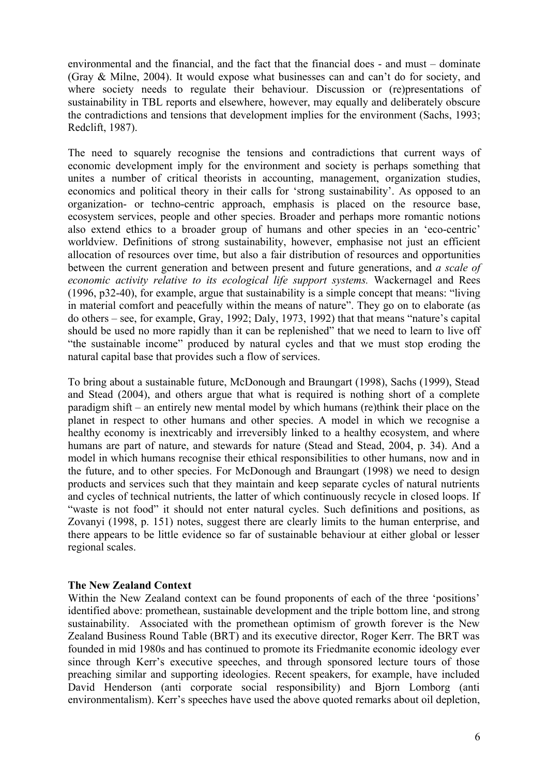environmental and the financial, and the fact that the financial does - and must – dominate (Gray & Milne, 2004). It would expose what businesses can and can't do for society, and where society needs to regulate their behaviour. Discussion or (re)presentations of sustainability in TBL reports and elsewhere, however, may equally and deliberately obscure the contradictions and tensions that development implies for the environment (Sachs, 1993; Redclift, 1987).

The need to squarely recognise the tensions and contradictions that current ways of economic development imply for the environment and society is perhaps something that unites a number of critical theorists in accounting, management, organization studies, economics and political theory in their calls for 'strong sustainability'. As opposed to an organization- or techno-centric approach, emphasis is placed on the resource base, ecosystem services, people and other species. Broader and perhaps more romantic notions also extend ethics to a broader group of humans and other species in an 'eco-centric' worldview. Definitions of strong sustainability, however, emphasise not just an efficient allocation of resources over time, but also a fair distribution of resources and opportunities between the current generation and between present and future generations, and *a scale of economic activity relative to its ecological life support systems.* Wackernagel and Rees (1996, p32-40), for example, argue that sustainability is a simple concept that means: "living in material comfort and peacefully within the means of nature". They go on to elaborate (as do others – see, for example, Gray, 1992; Daly, 1973, 1992) that that means "nature's capital should be used no more rapidly than it can be replenished" that we need to learn to live off "the sustainable income" produced by natural cycles and that we must stop eroding the natural capital base that provides such a flow of services.

To bring about a sustainable future, McDonough and Braungart (1998), Sachs (1999), Stead and Stead (2004), and others argue that what is required is nothing short of a complete paradigm shift – an entirely new mental model by which humans (re)think their place on the planet in respect to other humans and other species. A model in which we recognise a healthy economy is inextricably and irreversibly linked to a healthy ecosystem, and where humans are part of nature, and stewards for nature (Stead and Stead, 2004, p. 34). And a model in which humans recognise their ethical responsibilities to other humans, now and in the future, and to other species. For McDonough and Braungart (1998) we need to design products and services such that they maintain and keep separate cycles of natural nutrients and cycles of technical nutrients, the latter of which continuously recycle in closed loops. If "waste is not food" it should not enter natural cycles. Such definitions and positions, as Zovanyi (1998, p. 151) notes, suggest there are clearly limits to the human enterprise, and there appears to be little evidence so far of sustainable behaviour at either global or lesser regional scales.

#### **The New Zealand Context**

Within the New Zealand context can be found proponents of each of the three 'positions' identified above: promethean, sustainable development and the triple bottom line, and strong sustainability. Associated with the promethean optimism of growth forever is the New Zealand Business Round Table (BRT) and its executive director, Roger Kerr. The BRT was founded in mid 1980s and has continued to promote its Friedmanite economic ideology ever since through Kerr's executive speeches, and through sponsored lecture tours of those preaching similar and supporting ideologies. Recent speakers, for example, have included David Henderson (anti corporate social responsibility) and Bjorn Lomborg (anti environmentalism). Kerr's speeches have used the above quoted remarks about oil depletion,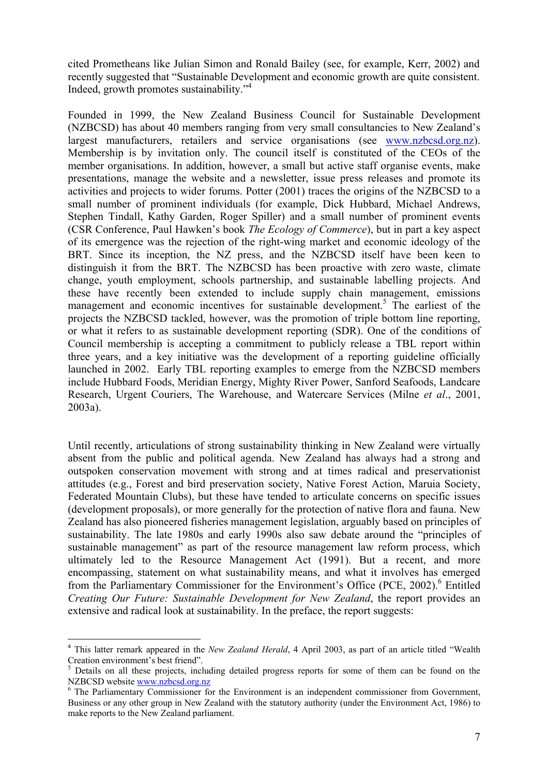cited Prometheans like Julian Simon and Ronald Bailey (see, for example, Kerr, 2002) and recently suggested that "Sustainable Development and economic growth are quite consistent. Indeed, growth promotes sustainability."4

Founded in 1999, the New Zealand Business Council for Sustainable Development (NZBCSD) has about 40 members ranging from very small consultancies to New Zealand's largest manufacturers, retailers and service organisations (see www.nzbcsd.org.nz). Membership is by invitation only. The council itself is constituted of the CEOs of the member organisations. In addition, however, a small but active staff organise events, make presentations, manage the website and a newsletter, issue press releases and promote its activities and projects to wider forums. Potter (2001) traces the origins of the NZBCSD to a small number of prominent individuals (for example, Dick Hubbard, Michael Andrews, Stephen Tindall, Kathy Garden, Roger Spiller) and a small number of prominent events (CSR Conference, Paul Hawken's book *The Ecology of Commerce*), but in part a key aspect of its emergence was the rejection of the right-wing market and economic ideology of the BRT. Since its inception, the NZ press, and the NZBCSD itself have been keen to distinguish it from the BRT. The NZBCSD has been proactive with zero waste, climate change, youth employment, schools partnership, and sustainable labelling projects. And these have recently been extended to include supply chain management, emissions management and economic incentives for sustainable development.<sup>5</sup> The earliest of the projects the NZBCSD tackled, however, was the promotion of triple bottom line reporting, or what it refers to as sustainable development reporting (SDR). One of the conditions of Council membership is accepting a commitment to publicly release a TBL report within three years, and a key initiative was the development of a reporting guideline officially launched in 2002. Early TBL reporting examples to emerge from the NZBCSD members include Hubbard Foods, Meridian Energy, Mighty River Power, Sanford Seafoods, Landcare Research, Urgent Couriers, The Warehouse, and Watercare Services (Milne *et al*., 2001, 2003a).

Until recently, articulations of strong sustainability thinking in New Zealand were virtually absent from the public and political agenda. New Zealand has always had a strong and outspoken conservation movement with strong and at times radical and preservationist attitudes (e.g., Forest and bird preservation society, Native Forest Action, Maruia Society, Federated Mountain Clubs), but these have tended to articulate concerns on specific issues (development proposals), or more generally for the protection of native flora and fauna. New Zealand has also pioneered fisheries management legislation, arguably based on principles of sustainability. The late 1980s and early 1990s also saw debate around the "principles of sustainable management" as part of the resource management law reform process, which ultimately led to the Resource Management Act (1991). But a recent, and more encompassing, statement on what sustainability means, and what it involves has emerged from the Parliamentary Commissioner for the Environment's Office (PCE, 2002).<sup>6</sup> Entitled *Creating Our Future: Sustainable Development for New Zealand*, the report provides an extensive and radical look at sustainability. In the preface, the report suggests:

 $\overline{a}$ 

<sup>4</sup> This latter remark appeared in the *New Zealand Herald*, 4 April 2003, as part of an article titled "Wealth Creation environment's best friend".

<sup>&</sup>lt;sup>5</sup> Details on all these projects, including detailed progress reports for some of them can be found on the NZBCSD website www.nzbcsd.org.nz

<sup>&</sup>lt;sup>6</sup> The Parliamentary Commissioner for the Environment is an independent commissioner from Government, Business or any other group in New Zealand with the statutory authority (under the Environment Act, 1986) to make reports to the New Zealand parliament.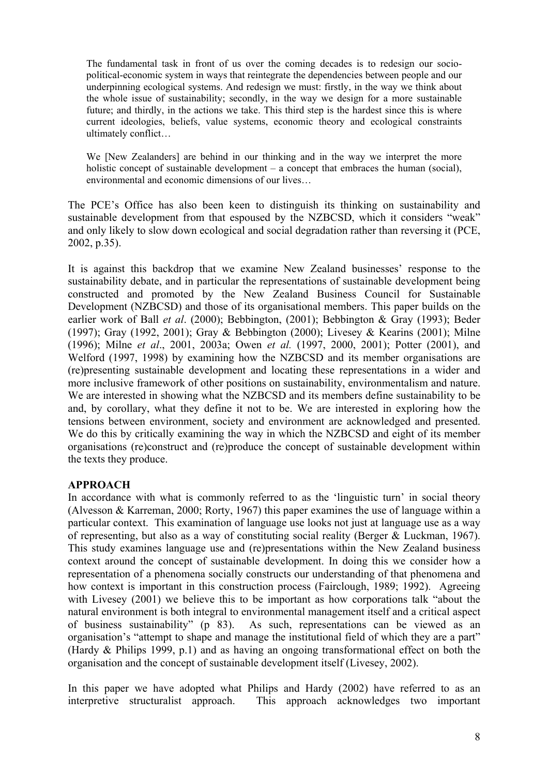The fundamental task in front of us over the coming decades is to redesign our sociopolitical-economic system in ways that reintegrate the dependencies between people and our underpinning ecological systems. And redesign we must: firstly, in the way we think about the whole issue of sustainability; secondly, in the way we design for a more sustainable future; and thirdly, in the actions we take. This third step is the hardest since this is where current ideologies, beliefs, value systems, economic theory and ecological constraints ultimately conflict…

We [New Zealanders] are behind in our thinking and in the way we interpret the more holistic concept of sustainable development – a concept that embraces the human (social), environmental and economic dimensions of our lives…

The PCE's Office has also been keen to distinguish its thinking on sustainability and sustainable development from that espoused by the NZBCSD, which it considers "weak" and only likely to slow down ecological and social degradation rather than reversing it (PCE, 2002, p.35).

It is against this backdrop that we examine New Zealand businesses' response to the sustainability debate, and in particular the representations of sustainable development being constructed and promoted by the New Zealand Business Council for Sustainable Development (NZBCSD) and those of its organisational members. This paper builds on the earlier work of Ball *et al*. (2000); Bebbington, (2001); Bebbington & Gray (1993); Beder (1997); Gray (1992, 2001); Gray & Bebbington (2000); Livesey & Kearins (2001); Milne (1996); Milne *et al*., 2001, 2003a; Owen *et al.* (1997, 2000, 2001); Potter (2001), and Welford (1997, 1998) by examining how the NZBCSD and its member organisations are (re)presenting sustainable development and locating these representations in a wider and more inclusive framework of other positions on sustainability, environmentalism and nature. We are interested in showing what the NZBCSD and its members define sustainability to be and, by corollary, what they define it not to be. We are interested in exploring how the tensions between environment, society and environment are acknowledged and presented. We do this by critically examining the way in which the NZBCSD and eight of its member organisations (re)construct and (re)produce the concept of sustainable development within the texts they produce.

## **APPROACH**

In accordance with what is commonly referred to as the 'linguistic turn' in social theory (Alvesson & Karreman, 2000; Rorty, 1967) this paper examines the use of language within a particular context. This examination of language use looks not just at language use as a way of representing, but also as a way of constituting social reality (Berger & Luckman, 1967). This study examines language use and (re)presentations within the New Zealand business context around the concept of sustainable development. In doing this we consider how a representation of a phenomena socially constructs our understanding of that phenomena and how context is important in this construction process (Fairclough, 1989; 1992). Agreeing with Livesey (2001) we believe this to be important as how corporations talk "about the natural environment is both integral to environmental management itself and a critical aspect of business sustainability" (p 83). As such, representations can be viewed as an organisation's "attempt to shape and manage the institutional field of which they are a part" (Hardy & Philips 1999, p.1) and as having an ongoing transformational effect on both the organisation and the concept of sustainable development itself (Livesey, 2002).

In this paper we have adopted what Philips and Hardy (2002) have referred to as an interpretive structuralist approach. This approach acknowledges two important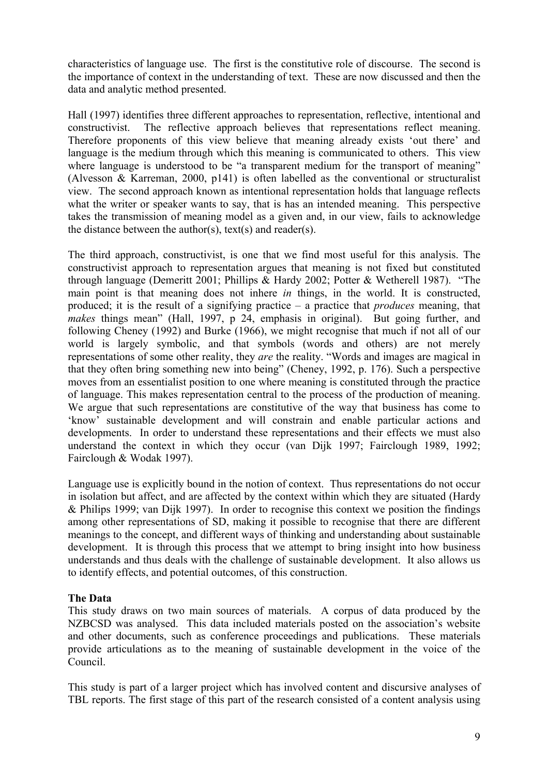characteristics of language use. The first is the constitutive role of discourse. The second is the importance of context in the understanding of text. These are now discussed and then the data and analytic method presented.

Hall (1997) identifies three different approaches to representation, reflective, intentional and constructivist. The reflective approach believes that representations reflect meaning. Therefore proponents of this view believe that meaning already exists 'out there' and language is the medium through which this meaning is communicated to others. This view where language is understood to be "a transparent medium for the transport of meaning" (Alvesson & Karreman, 2000, p141) is often labelled as the conventional or structuralist view. The second approach known as intentional representation holds that language reflects what the writer or speaker wants to say, that is has an intended meaning. This perspective takes the transmission of meaning model as a given and, in our view, fails to acknowledge the distance between the author(s), text(s) and reader(s).

The third approach, constructivist, is one that we find most useful for this analysis. The constructivist approach to representation argues that meaning is not fixed but constituted through language (Demeritt 2001; Phillips & Hardy 2002; Potter & Wetherell 1987). "The main point is that meaning does not inhere *in* things, in the world. It is constructed, produced; it is the result of a signifying practice – a practice that *produces* meaning, that *makes* things mean" (Hall, 1997, p 24, emphasis in original). But going further, and following Cheney (1992) and Burke (1966), we might recognise that much if not all of our world is largely symbolic, and that symbols (words and others) are not merely representations of some other reality, they *are* the reality. "Words and images are magical in that they often bring something new into being" (Cheney, 1992, p. 176). Such a perspective moves from an essentialist position to one where meaning is constituted through the practice of language. This makes representation central to the process of the production of meaning. We argue that such representations are constitutive of the way that business has come to 'know' sustainable development and will constrain and enable particular actions and developments. In order to understand these representations and their effects we must also understand the context in which they occur (van Dijk 1997; Fairclough 1989, 1992; Fairclough & Wodak 1997).

Language use is explicitly bound in the notion of context. Thus representations do not occur in isolation but affect, and are affected by the context within which they are situated (Hardy & Philips 1999; van Dijk 1997). In order to recognise this context we position the findings among other representations of SD, making it possible to recognise that there are different meanings to the concept, and different ways of thinking and understanding about sustainable development. It is through this process that we attempt to bring insight into how business understands and thus deals with the challenge of sustainable development. It also allows us to identify effects, and potential outcomes, of this construction.

#### **The Data**

This study draws on two main sources of materials. A corpus of data produced by the NZBCSD was analysed. This data included materials posted on the association's website and other documents, such as conference proceedings and publications. These materials provide articulations as to the meaning of sustainable development in the voice of the Council.

This study is part of a larger project which has involved content and discursive analyses of TBL reports. The first stage of this part of the research consisted of a content analysis using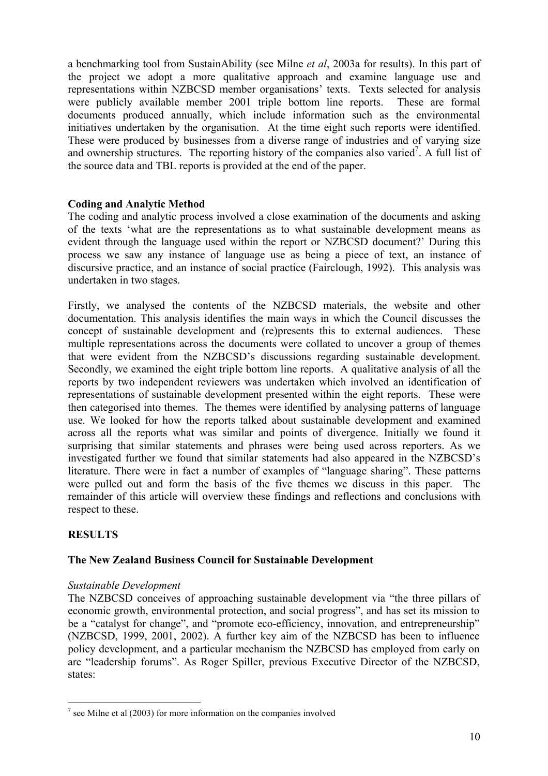a benchmarking tool from SustainAbility (see Milne *et al*, 2003a for results). In this part of the project we adopt a more qualitative approach and examine language use and representations within NZBCSD member organisations' texts. Texts selected for analysis were publicly available member 2001 triple bottom line reports. These are formal documents produced annually, which include information such as the environmental initiatives undertaken by the organisation. At the time eight such reports were identified. These were produced by businesses from a diverse range of industries and of varying size and ownership structures. The reporting history of the companies also varied<sup>7</sup>. A full list of the source data and TBL reports is provided at the end of the paper.

## **Coding and Analytic Method**

The coding and analytic process involved a close examination of the documents and asking of the texts 'what are the representations as to what sustainable development means as evident through the language used within the report or NZBCSD document?' During this process we saw any instance of language use as being a piece of text, an instance of discursive practice, and an instance of social practice (Fairclough, 1992). This analysis was undertaken in two stages.

Firstly, we analysed the contents of the NZBCSD materials, the website and other documentation. This analysis identifies the main ways in which the Council discusses the concept of sustainable development and (re)presents this to external audiences. These multiple representations across the documents were collated to uncover a group of themes that were evident from the NZBCSD's discussions regarding sustainable development. Secondly, we examined the eight triple bottom line reports. A qualitative analysis of all the reports by two independent reviewers was undertaken which involved an identification of representations of sustainable development presented within the eight reports. These were then categorised into themes. The themes were identified by analysing patterns of language use. We looked for how the reports talked about sustainable development and examined across all the reports what was similar and points of divergence. Initially we found it surprising that similar statements and phrases were being used across reporters. As we investigated further we found that similar statements had also appeared in the NZBCSD's literature. There were in fact a number of examples of "language sharing". These patterns were pulled out and form the basis of the five themes we discuss in this paper. The remainder of this article will overview these findings and reflections and conclusions with respect to these.

## **RESULTS**

 $\overline{a}$ 

### **The New Zealand Business Council for Sustainable Development**

#### *Sustainable Development*

The NZBCSD conceives of approaching sustainable development via "the three pillars of economic growth, environmental protection, and social progress", and has set its mission to be a "catalyst for change", and "promote eco-efficiency, innovation, and entrepreneurship" (NZBCSD, 1999, 2001, 2002). A further key aim of the NZBCSD has been to influence policy development, and a particular mechanism the NZBCSD has employed from early on are "leadership forums". As Roger Spiller, previous Executive Director of the NZBCSD, states:

 $<sup>7</sup>$  see Milne et al (2003) for more information on the companies involved</sup>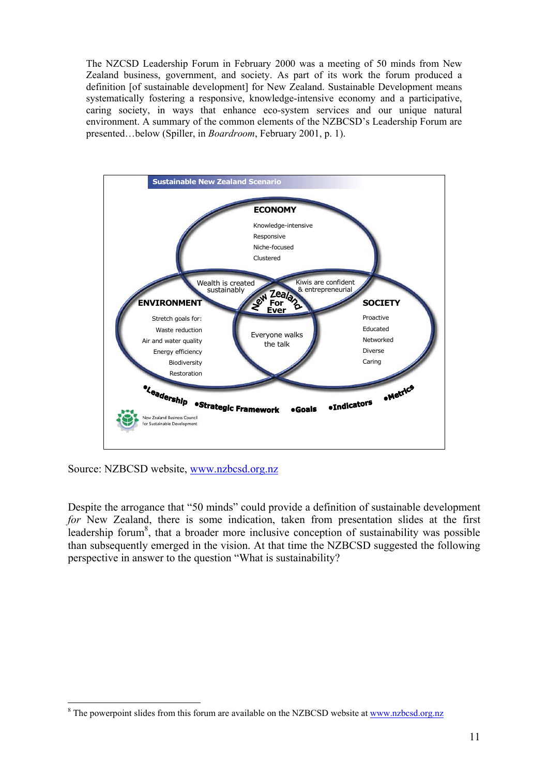The NZCSD Leadership Forum in February 2000 was a meeting of 50 minds from New Zealand business, government, and society. As part of its work the forum produced a definition [of sustainable development] for New Zealand. Sustainable Development means systematically fostering a responsive, knowledge-intensive economy and a participative, caring society, in ways that enhance eco-system services and our unique natural environment. A summary of the common elements of the NZBCSD's Leadership Forum are presented…below (Spiller, in *Boardroom*, February 2001, p. 1).



Source: NZBCSD website, www.nzbcsd.org.nz

 $\overline{a}$ 

Despite the arrogance that "50 minds" could provide a definition of sustainable development *for* New Zealand, there is some indication, taken from presentation slides at the first leadership forum<sup>8</sup>, that a broader more inclusive conception of sustainability was possible than subsequently emerged in the vision. At that time the NZBCSD suggested the following perspective in answer to the question "What is sustainability?

<sup>&</sup>lt;sup>8</sup> The powerpoint slides from this forum are available on the NZBCSD website at www.nzbcsd.org.nz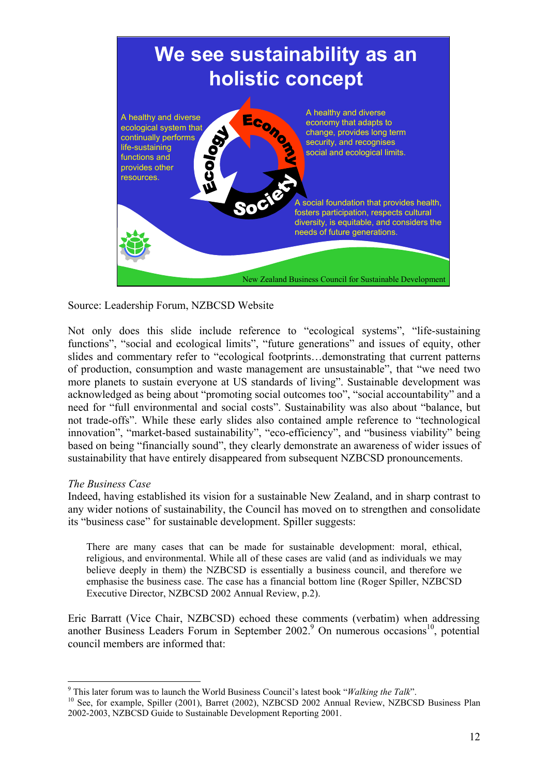

Source: Leadership Forum, NZBCSD Website

Not only does this slide include reference to "ecological systems", "life-sustaining functions", "social and ecological limits", "future generations" and issues of equity, other slides and commentary refer to "ecological footprints…demonstrating that current patterns of production, consumption and waste management are unsustainable", that "we need two more planets to sustain everyone at US standards of living". Sustainable development was acknowledged as being about "promoting social outcomes too", "social accountability" and a need for "full environmental and social costs". Sustainability was also about "balance, but not trade-offs". While these early slides also contained ample reference to "technological innovation", "market-based sustainability", "eco-efficiency", and "business viability" being based on being "financially sound", they clearly demonstrate an awareness of wider issues of sustainability that have entirely disappeared from subsequent NZBCSD pronouncements.

#### *The Business Case*

Indeed, having established its vision for a sustainable New Zealand, and in sharp contrast to any wider notions of sustainability, the Council has moved on to strengthen and consolidate its "business case" for sustainable development. Spiller suggests:

There are many cases that can be made for sustainable development: moral, ethical, religious, and environmental. While all of these cases are valid (and as individuals we may believe deeply in them) the NZBCSD is essentially a business council, and therefore we emphasise the business case. The case has a financial bottom line (Roger Spiller, NZBCSD Executive Director, NZBCSD 2002 Annual Review, p.2).

Eric Barratt (Vice Chair, NZBCSD) echoed these comments (verbatim) when addressing another Business Leaders Forum in September  $2002$ .<sup>9</sup> On numerous occasions<sup>10</sup>, potential council members are informed that:

 $\overline{a}$ <sup>9</sup> This later forum was to launch the World Business Council's latest book "*Walking the Talk*".

<sup>&</sup>lt;sup>10</sup> See, for example, Spiller (2001), Barret (2002), NZBCSD 2002 Annual Review, NZBCSD Business Plan 2002-2003, NZBCSD Guide to Sustainable Development Reporting 2001.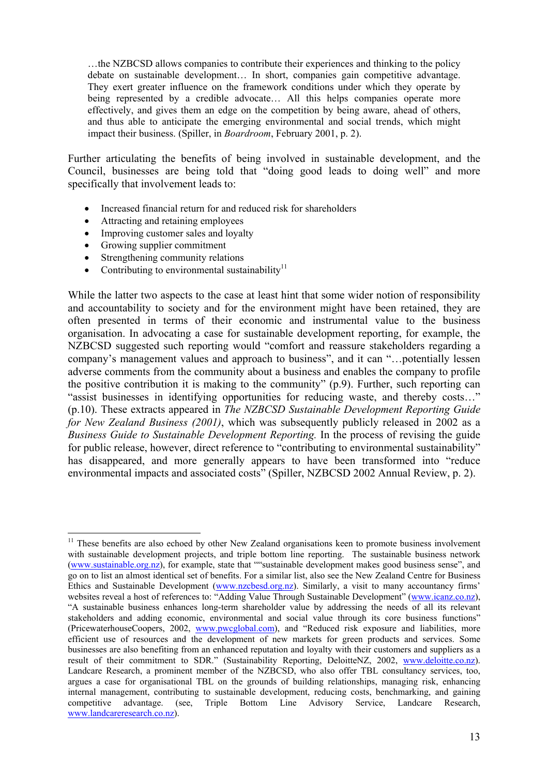…the NZBCSD allows companies to contribute their experiences and thinking to the policy debate on sustainable development… In short, companies gain competitive advantage. They exert greater influence on the framework conditions under which they operate by being represented by a credible advocate... All this helps companies operate more effectively, and gives them an edge on the competition by being aware, ahead of others, and thus able to anticipate the emerging environmental and social trends, which might impact their business. (Spiller, in *Boardroom*, February 2001, p. 2).

Further articulating the benefits of being involved in sustainable development, and the Council, businesses are being told that "doing good leads to doing well" and more specifically that involvement leads to:

- Increased financial return for and reduced risk for shareholders
- Attracting and retaining employees
- Improving customer sales and loyalty
- Growing supplier commitment

 $\overline{a}$ 

- Strengthening community relations
- Contributing to environmental sustainability $11$

While the latter two aspects to the case at least hint that some wider notion of responsibility and accountability to society and for the environment might have been retained, they are often presented in terms of their economic and instrumental value to the business organisation. In advocating a case for sustainable development reporting, for example, the NZBCSD suggested such reporting would "comfort and reassure stakeholders regarding a company's management values and approach to business", and it can "…potentially lessen adverse comments from the community about a business and enables the company to profile the positive contribution it is making to the community" (p.9). Further, such reporting can "assist businesses in identifying opportunities for reducing waste, and thereby costs…" (p.10). These extracts appeared in *The NZBCSD Sustainable Development Reporting Guide for New Zealand Business (2001)*, which was subsequently publicly released in 2002 as a *Business Guide to Sustainable Development Reporting.* In the process of revising the guide for public release, however, direct reference to "contributing to environmental sustainability" has disappeared, and more generally appears to have been transformed into "reduce environmental impacts and associated costs" (Spiller, NZBCSD 2002 Annual Review, p. 2).

 $11$  These benefits are also echoed by other New Zealand organisations keen to promote business involvement with sustainable development projects, and triple bottom line reporting. The sustainable business network (www.sustainable.org.nz), for example, state that ""sustainable development makes good business sense", and go on to list an almost identical set of benefits. For a similar list, also see the New Zealand Centre for Business Ethics and Sustainable Development (www.nzcbesd.org.nz). Similarly, a visit to many accountancy firms' websites reveal a host of references to: "Adding Value Through Sustainable Development" (www.icanz.co.nz), "A sustainable business enhances long-term shareholder value by addressing the needs of all its relevant stakeholders and adding economic, environmental and social value through its core business functions" (PricewaterhouseCoopers, 2002, www.pwcglobal.com), and "Reduced risk exposure and liabilities, more efficient use of resources and the development of new markets for green products and services. Some businesses are also benefiting from an enhanced reputation and loyalty with their customers and suppliers as a result of their commitment to SDR." (Sustainability Reporting, DeloitteNZ, 2002, www.deloitte.co.nz). Landcare Research, a prominent member of the NZBCSD, who also offer TBL consultancy services, too, argues a case for organisational TBL on the grounds of building relationships, managing risk, enhancing internal management, contributing to sustainable development, reducing costs, benchmarking, and gaining competitive advantage. (see, Triple Bottom Line Advisory Service, Landcare Research, www.landcareresearch.co.nz).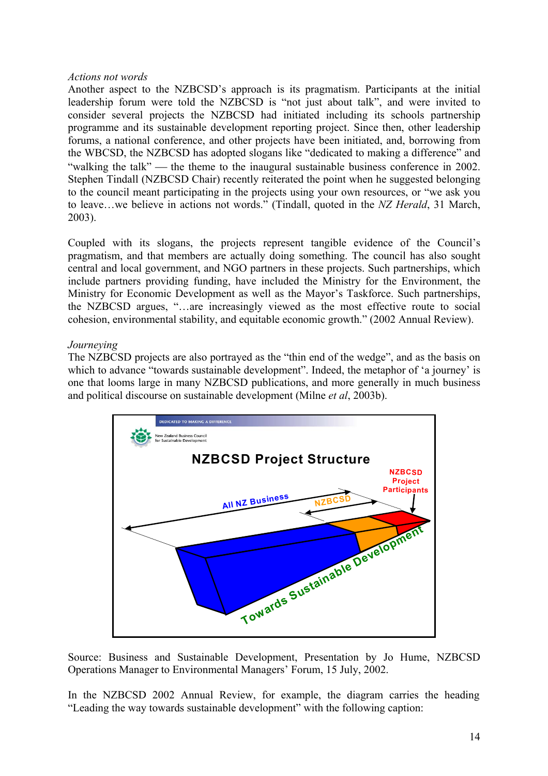#### *Actions not words*

Another aspect to the NZBCSD's approach is its pragmatism. Participants at the initial leadership forum were told the NZBCSD is "not just about talk", and were invited to consider several projects the NZBCSD had initiated including its schools partnership programme and its sustainable development reporting project. Since then, other leadership forums, a national conference, and other projects have been initiated, and, borrowing from the WBCSD, the NZBCSD has adopted slogans like "dedicated to making a difference" and "walking the talk" — the theme to the inaugural sustainable business conference in 2002. Stephen Tindall (NZBCSD Chair) recently reiterated the point when he suggested belonging to the council meant participating in the projects using your own resources, or "we ask you to leave…we believe in actions not words." (Tindall, quoted in the *NZ Herald*, 31 March, 2003).

Coupled with its slogans, the projects represent tangible evidence of the Council's pragmatism, and that members are actually doing something. The council has also sought central and local government, and NGO partners in these projects. Such partnerships, which include partners providing funding, have included the Ministry for the Environment, the Ministry for Economic Development as well as the Mayor's Taskforce. Such partnerships, the NZBCSD argues, "…are increasingly viewed as the most effective route to social cohesion, environmental stability, and equitable economic growth." (2002 Annual Review).

#### *Journeying*

The NZBCSD projects are also portrayed as the "thin end of the wedge", and as the basis on which to advance "towards sustainable development". Indeed, the metaphor of 'a journey' is one that looms large in many NZBCSD publications, and more generally in much business and political discourse on sustainable development (Milne *et al*, 2003b).



Source: Business and Sustainable Development, Presentation by Jo Hume, NZBCSD Operations Manager to Environmental Managers' Forum, 15 July, 2002.

In the NZBCSD 2002 Annual Review, for example, the diagram carries the heading "Leading the way towards sustainable development" with the following caption: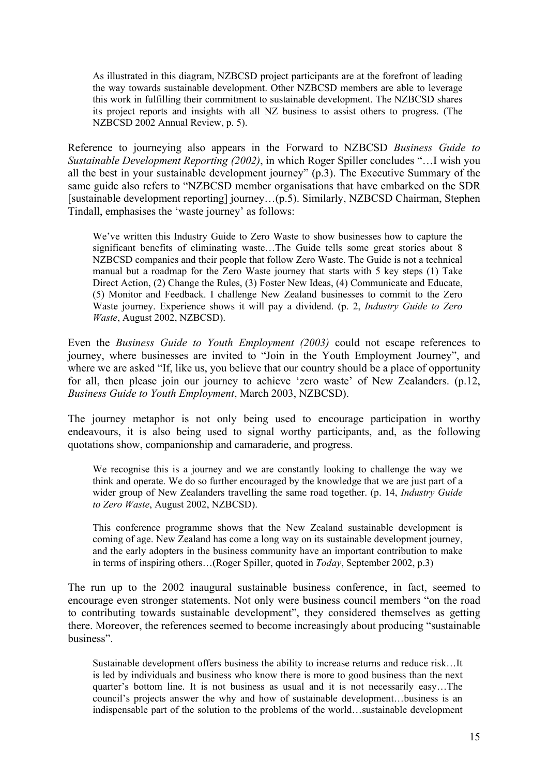As illustrated in this diagram, NZBCSD project participants are at the forefront of leading the way towards sustainable development. Other NZBCSD members are able to leverage this work in fulfilling their commitment to sustainable development. The NZBCSD shares its project reports and insights with all NZ business to assist others to progress. (The NZBCSD 2002 Annual Review, p. 5).

Reference to journeying also appears in the Forward to NZBCSD *Business Guide to Sustainable Development Reporting (2002)*, in which Roger Spiller concludes "…I wish you all the best in your sustainable development journey" (p.3). The Executive Summary of the same guide also refers to "NZBCSD member organisations that have embarked on the SDR [sustainable development reporting] journey…(p.5). Similarly, NZBCSD Chairman, Stephen Tindall, emphasises the 'waste journey' as follows:

We've written this Industry Guide to Zero Waste to show businesses how to capture the significant benefits of eliminating waste…The Guide tells some great stories about 8 NZBCSD companies and their people that follow Zero Waste. The Guide is not a technical manual but a roadmap for the Zero Waste journey that starts with 5 key steps (1) Take Direct Action, (2) Change the Rules, (3) Foster New Ideas, (4) Communicate and Educate, (5) Monitor and Feedback. I challenge New Zealand businesses to commit to the Zero Waste journey. Experience shows it will pay a dividend. (p. 2, *Industry Guide to Zero Waste*, August 2002, NZBCSD).

Even the *Business Guide to Youth Employment (2003)* could not escape references to journey, where businesses are invited to "Join in the Youth Employment Journey", and where we are asked "If, like us, you believe that our country should be a place of opportunity for all, then please join our journey to achieve 'zero waste' of New Zealanders. (p.12, *Business Guide to Youth Employment*, March 2003, NZBCSD).

The journey metaphor is not only being used to encourage participation in worthy endeavours, it is also being used to signal worthy participants, and, as the following quotations show, companionship and camaraderie, and progress.

We recognise this is a journey and we are constantly looking to challenge the way we think and operate. We do so further encouraged by the knowledge that we are just part of a wider group of New Zealanders travelling the same road together. (p. 14, *Industry Guide to Zero Waste*, August 2002, NZBCSD).

This conference programme shows that the New Zealand sustainable development is coming of age. New Zealand has come a long way on its sustainable development journey, and the early adopters in the business community have an important contribution to make in terms of inspiring others…(Roger Spiller, quoted in *Today*, September 2002, p.3)

The run up to the 2002 inaugural sustainable business conference, in fact, seemed to encourage even stronger statements. Not only were business council members "on the road to contributing towards sustainable development", they considered themselves as getting there. Moreover, the references seemed to become increasingly about producing "sustainable business".

Sustainable development offers business the ability to increase returns and reduce risk…It is led by individuals and business who know there is more to good business than the next quarter's bottom line. It is not business as usual and it is not necessarily easy…The council's projects answer the why and how of sustainable development…business is an indispensable part of the solution to the problems of the world…sustainable development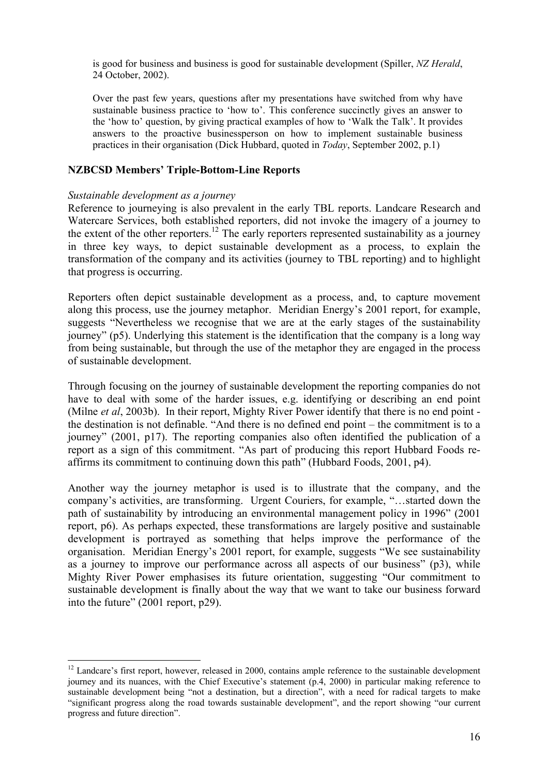is good for business and business is good for sustainable development (Spiller, *NZ Herald*, 24 October, 2002).

Over the past few years, questions after my presentations have switched from why have sustainable business practice to 'how to'. This conference succinctly gives an answer to the 'how to' question, by giving practical examples of how to 'Walk the Talk'. It provides answers to the proactive businessperson on how to implement sustainable business practices in their organisation (Dick Hubbard, quoted in *Today*, September 2002, p.1)

## **NZBCSD Members' Triple-Bottom-Line Reports**

#### *Sustainable development as a journey*

 $\overline{a}$ 

Reference to journeying is also prevalent in the early TBL reports. Landcare Research and Watercare Services, both established reporters, did not invoke the imagery of a journey to the extent of the other reporters.<sup>12</sup> The early reporters represented sustainability as a journey in three key ways, to depict sustainable development as a process, to explain the transformation of the company and its activities (journey to TBL reporting) and to highlight that progress is occurring.

Reporters often depict sustainable development as a process, and, to capture movement along this process, use the journey metaphor. Meridian Energy's 2001 report, for example, suggests "Nevertheless we recognise that we are at the early stages of the sustainability journey" (p5). Underlying this statement is the identification that the company is a long way from being sustainable, but through the use of the metaphor they are engaged in the process of sustainable development.

Through focusing on the journey of sustainable development the reporting companies do not have to deal with some of the harder issues, e.g. identifying or describing an end point (Milne *et al*, 2003b). In their report, Mighty River Power identify that there is no end point the destination is not definable. "And there is no defined end point – the commitment is to a journey" (2001, p17). The reporting companies also often identified the publication of a report as a sign of this commitment. "As part of producing this report Hubbard Foods reaffirms its commitment to continuing down this path" (Hubbard Foods, 2001, p4).

Another way the journey metaphor is used is to illustrate that the company, and the company's activities, are transforming. Urgent Couriers, for example, "…started down the path of sustainability by introducing an environmental management policy in 1996" (2001 report, p6). As perhaps expected, these transformations are largely positive and sustainable development is portrayed as something that helps improve the performance of the organisation. Meridian Energy's 2001 report, for example, suggests "We see sustainability as a journey to improve our performance across all aspects of our business" (p3), while Mighty River Power emphasises its future orientation, suggesting "Our commitment to sustainable development is finally about the way that we want to take our business forward into the future" (2001 report, p29).

<sup>&</sup>lt;sup>12</sup> Landcare's first report, however, released in 2000, contains ample reference to the sustainable development journey and its nuances, with the Chief Executive's statement (p.4, 2000) in particular making reference to sustainable development being "not a destination, but a direction", with a need for radical targets to make "significant progress along the road towards sustainable development", and the report showing "our current progress and future direction".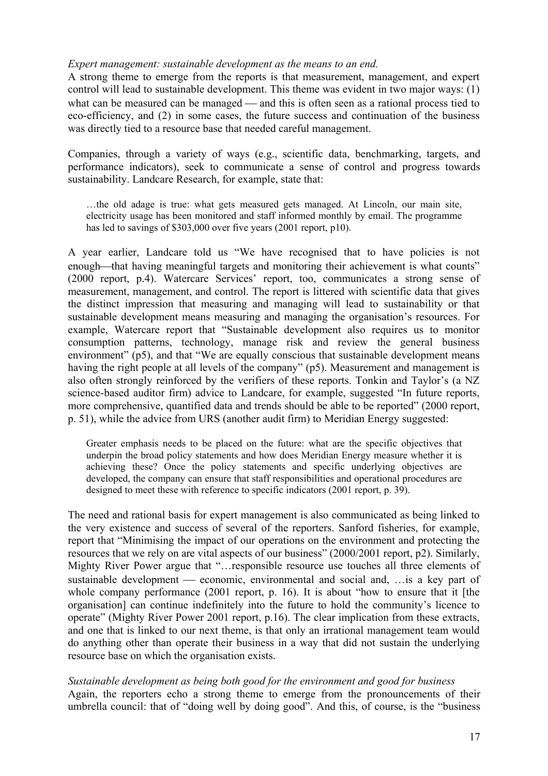### *Expert management: sustainable development as the means to an end.*

A strong theme to emerge from the reports is that measurement, management, and expert control will lead to sustainable development. This theme was evident in two major ways: (1) what can be measured can be managed  $-$  and this is often seen as a rational process tied to eco-efficiency, and (2) in some cases, the future success and continuation of the business was directly tied to a resource base that needed careful management.

Companies, through a variety of ways (e.g., scientific data, benchmarking, targets, and performance indicators), seek to communicate a sense of control and progress towards sustainability. Landcare Research, for example, state that:

…the old adage is true: what gets measured gets managed. At Lincoln, our main site, electricity usage has been monitored and staff informed monthly by email. The programme has led to savings of \$303,000 over five years (2001 report, p10).

A year earlier, Landcare told us "We have recognised that to have policies is not enough—that having meaningful targets and monitoring their achievement is what counts" (2000 report, p.4). Watercare Services' report, too, communicates a strong sense of measurement, management, and control. The report is littered with scientific data that gives the distinct impression that measuring and managing will lead to sustainability or that sustainable development means measuring and managing the organisation's resources. For example, Watercare report that "Sustainable development also requires us to monitor consumption patterns, technology, manage risk and review the general business environment" (p5), and that "We are equally conscious that sustainable development means having the right people at all levels of the company" (p5). Measurement and management is also often strongly reinforced by the verifiers of these reports. Tonkin and Taylor's (a NZ science-based auditor firm) advice to Landcare, for example, suggested "In future reports, more comprehensive, quantified data and trends should be able to be reported" (2000 report, p. 51), while the advice from URS (another audit firm) to Meridian Energy suggested:

Greater emphasis needs to be placed on the future: what are the specific objectives that underpin the broad policy statements and how does Meridian Energy measure whether it is achieving these? Once the policy statements and specific underlying objectives are developed, the company can ensure that staff responsibilities and operational procedures are designed to meet these with reference to specific indicators (2001 report, p. 39).

The need and rational basis for expert management is also communicated as being linked to the very existence and success of several of the reporters. Sanford fisheries, for example, report that "Minimising the impact of our operations on the environment and protecting the resources that we rely on are vital aspects of our business" (2000/2001 report, p2). Similarly, Mighty River Power argue that "…responsible resource use touches all three elements of sustainable development — economic, environmental and social and, …is a key part of whole company performance (2001 report, p. 16). It is about "how to ensure that it [the organisation] can continue indefinitely into the future to hold the community's licence to operate" (Mighty River Power 2001 report, p.16). The clear implication from these extracts, and one that is linked to our next theme, is that only an irrational management team would do anything other than operate their business in a way that did not sustain the underlying resource base on which the organisation exists.

*Sustainable development as being both good for the environment and good for business*  Again, the reporters echo a strong theme to emerge from the pronouncements of their umbrella council: that of "doing well by doing good". And this, of course, is the "business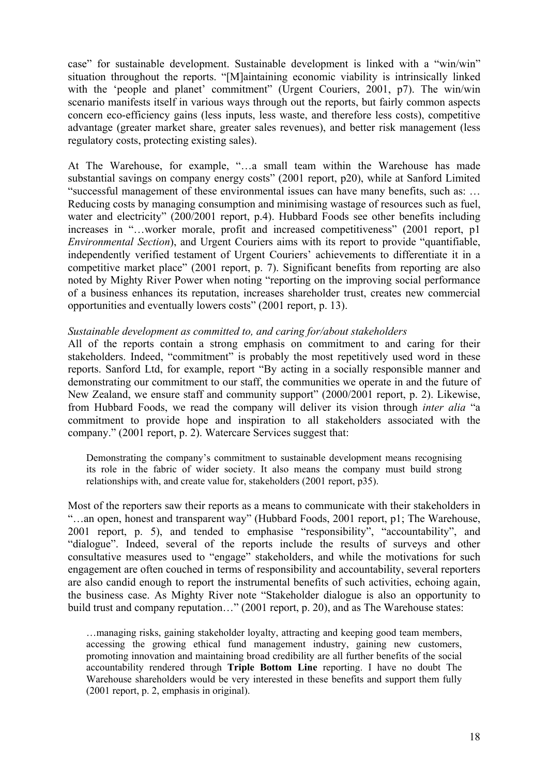case" for sustainable development. Sustainable development is linked with a "win/win" situation throughout the reports. "[M]aintaining economic viability is intrinsically linked with the 'people and planet' commitment" (Urgent Couriers, 2001, p7). The win/win scenario manifests itself in various ways through out the reports, but fairly common aspects concern eco-efficiency gains (less inputs, less waste, and therefore less costs), competitive advantage (greater market share, greater sales revenues), and better risk management (less regulatory costs, protecting existing sales).

At The Warehouse, for example, "…a small team within the Warehouse has made substantial savings on company energy costs" (2001 report, p20), while at Sanford Limited "successful management of these environmental issues can have many benefits, such as: … Reducing costs by managing consumption and minimising wastage of resources such as fuel, water and electricity" (200/2001 report, p.4). Hubbard Foods see other benefits including increases in "...worker morale, profit and increased competitiveness" (2001 report, p1 *Environmental Section*), and Urgent Couriers aims with its report to provide "quantifiable, independently verified testament of Urgent Couriers' achievements to differentiate it in a competitive market place" (2001 report, p. 7). Significant benefits from reporting are also noted by Mighty River Power when noting "reporting on the improving social performance of a business enhances its reputation, increases shareholder trust, creates new commercial opportunities and eventually lowers costs" (2001 report, p. 13).

#### *Sustainable development as committed to, and caring for/about stakeholders*

All of the reports contain a strong emphasis on commitment to and caring for their stakeholders. Indeed, "commitment" is probably the most repetitively used word in these reports. Sanford Ltd, for example, report "By acting in a socially responsible manner and demonstrating our commitment to our staff, the communities we operate in and the future of New Zealand, we ensure staff and community support" (2000/2001 report, p. 2). Likewise, from Hubbard Foods, we read the company will deliver its vision through *inter alia* "a commitment to provide hope and inspiration to all stakeholders associated with the company." (2001 report, p. 2). Watercare Services suggest that:

Demonstrating the company's commitment to sustainable development means recognising its role in the fabric of wider society. It also means the company must build strong relationships with, and create value for, stakeholders (2001 report, p35).

Most of the reporters saw their reports as a means to communicate with their stakeholders in "…an open, honest and transparent way" (Hubbard Foods, 2001 report, p1; The Warehouse, 2001 report, p. 5), and tended to emphasise "responsibility", "accountability", and "dialogue". Indeed, several of the reports include the results of surveys and other consultative measures used to "engage" stakeholders, and while the motivations for such engagement are often couched in terms of responsibility and accountability, several reporters are also candid enough to report the instrumental benefits of such activities, echoing again, the business case. As Mighty River note "Stakeholder dialogue is also an opportunity to build trust and company reputation…" (2001 report, p. 20), and as The Warehouse states:

…managing risks, gaining stakeholder loyalty, attracting and keeping good team members, accessing the growing ethical fund management industry, gaining new customers, promoting innovation and maintaining broad credibility are all further benefits of the social accountability rendered through **Triple Bottom Line** reporting. I have no doubt The Warehouse shareholders would be very interested in these benefits and support them fully (2001 report, p. 2, emphasis in original).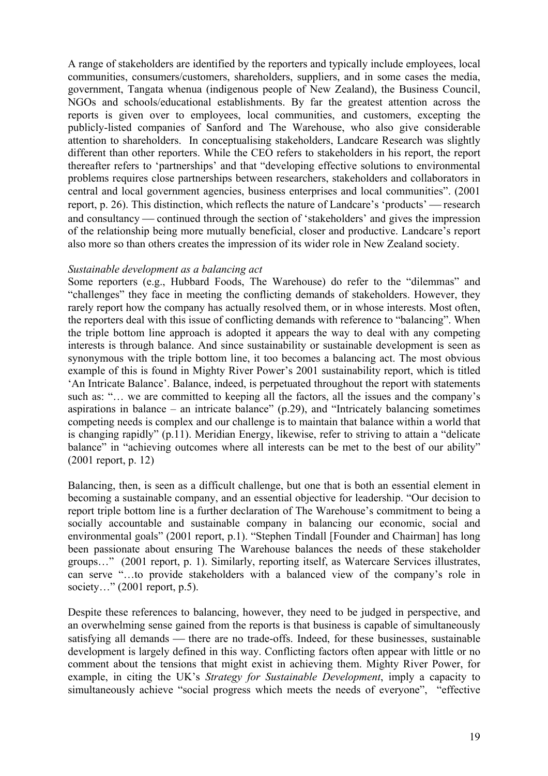A range of stakeholders are identified by the reporters and typically include employees, local communities, consumers/customers, shareholders, suppliers, and in some cases the media, government, Tangata whenua (indigenous people of New Zealand), the Business Council, NGOs and schools/educational establishments. By far the greatest attention across the reports is given over to employees, local communities, and customers, excepting the publicly-listed companies of Sanford and The Warehouse, who also give considerable attention to shareholders. In conceptualising stakeholders, Landcare Research was slightly different than other reporters. While the CEO refers to stakeholders in his report, the report thereafter refers to 'partnerships' and that "developing effective solutions to environmental problems requires close partnerships between researchers, stakeholders and collaborators in central and local government agencies, business enterprises and local communities". (2001 report, p. 26). This distinction, which reflects the nature of Landcare's 'products' — research and consultancy — continued through the section of 'stakeholders' and gives the impression of the relationship being more mutually beneficial, closer and productive. Landcare's report also more so than others creates the impression of its wider role in New Zealand society.

### *Sustainable development as a balancing act*

Some reporters (e.g., Hubbard Foods, The Warehouse) do refer to the "dilemmas" and "challenges" they face in meeting the conflicting demands of stakeholders. However, they rarely report how the company has actually resolved them, or in whose interests. Most often, the reporters deal with this issue of conflicting demands with reference to "balancing". When the triple bottom line approach is adopted it appears the way to deal with any competing interests is through balance. And since sustainability or sustainable development is seen as synonymous with the triple bottom line, it too becomes a balancing act. The most obvious example of this is found in Mighty River Power's 2001 sustainability report, which is titled 'An Intricate Balance'. Balance, indeed, is perpetuated throughout the report with statements such as: "… we are committed to keeping all the factors, all the issues and the company's aspirations in balance – an intricate balance"  $(p.29)$ , and "Intricately balancing sometimes" competing needs is complex and our challenge is to maintain that balance within a world that is changing rapidly" (p.11). Meridian Energy, likewise, refer to striving to attain a "delicate balance" in "achieving outcomes where all interests can be met to the best of our ability" (2001 report, p. 12)

Balancing, then, is seen as a difficult challenge, but one that is both an essential element in becoming a sustainable company, and an essential objective for leadership. "Our decision to report triple bottom line is a further declaration of The Warehouse's commitment to being a socially accountable and sustainable company in balancing our economic, social and environmental goals" (2001 report, p.1). "Stephen Tindall [Founder and Chairman] has long been passionate about ensuring The Warehouse balances the needs of these stakeholder groups…" (2001 report, p. 1). Similarly, reporting itself, as Watercare Services illustrates, can serve "...to provide stakeholders with a balanced view of the company's role in society..." (2001 report, p.5).

Despite these references to balancing, however, they need to be judged in perspective, and an overwhelming sense gained from the reports is that business is capable of simultaneously satisfying all demands — there are no trade-offs. Indeed, for these businesses, sustainable development is largely defined in this way. Conflicting factors often appear with little or no comment about the tensions that might exist in achieving them. Mighty River Power, for example, in citing the UK's *Strategy for Sustainable Development*, imply a capacity to simultaneously achieve "social progress which meets the needs of everyone", "effective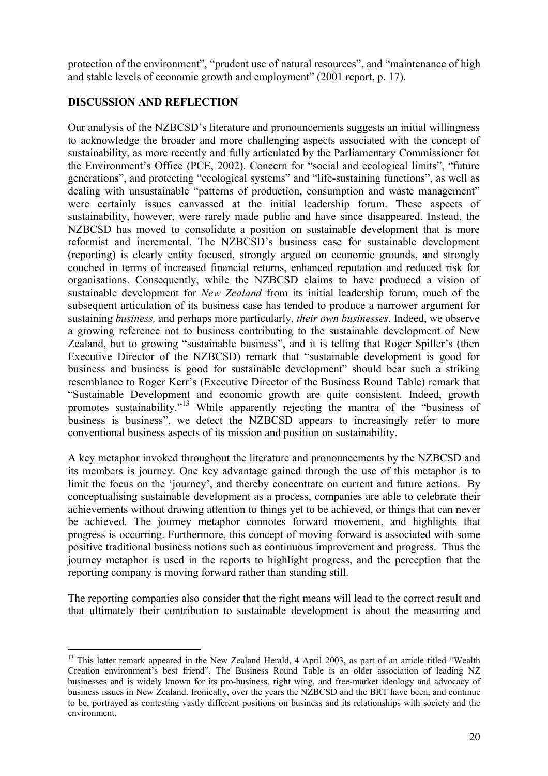protection of the environment", "prudent use of natural resources", and "maintenance of high and stable levels of economic growth and employment" (2001 report, p. 17).

## **DISCUSSION AND REFLECTION**

Our analysis of the NZBCSD's literature and pronouncements suggests an initial willingness to acknowledge the broader and more challenging aspects associated with the concept of sustainability, as more recently and fully articulated by the Parliamentary Commissioner for the Environment's Office (PCE, 2002). Concern for "social and ecological limits", "future generations", and protecting "ecological systems" and "life-sustaining functions", as well as dealing with unsustainable "patterns of production, consumption and waste management" were certainly issues canvassed at the initial leadership forum. These aspects of sustainability, however, were rarely made public and have since disappeared. Instead, the NZBCSD has moved to consolidate a position on sustainable development that is more reformist and incremental. The NZBCSD's business case for sustainable development (reporting) is clearly entity focused, strongly argued on economic grounds, and strongly couched in terms of increased financial returns, enhanced reputation and reduced risk for organisations. Consequently, while the NZBCSD claims to have produced a vision of sustainable development for *New Zealand* from its initial leadership forum, much of the subsequent articulation of its business case has tended to produce a narrower argument for sustaining *business,* and perhaps more particularly, *their own businesses*. Indeed, we observe a growing reference not to business contributing to the sustainable development of New Zealand, but to growing "sustainable business", and it is telling that Roger Spiller's (then Executive Director of the NZBCSD) remark that "sustainable development is good for business and business is good for sustainable development" should bear such a striking resemblance to Roger Kerr's (Executive Director of the Business Round Table) remark that "Sustainable Development and economic growth are quite consistent. Indeed, growth promotes sustainability."<sup>13</sup> While apparently rejecting the mantra of the "business of business is business", we detect the NZBCSD appears to increasingly refer to more conventional business aspects of its mission and position on sustainability.

A key metaphor invoked throughout the literature and pronouncements by the NZBCSD and its members is journey. One key advantage gained through the use of this metaphor is to limit the focus on the 'journey', and thereby concentrate on current and future actions. By conceptualising sustainable development as a process, companies are able to celebrate their achievements without drawing attention to things yet to be achieved, or things that can never be achieved. The journey metaphor connotes forward movement, and highlights that progress is occurring. Furthermore, this concept of moving forward is associated with some positive traditional business notions such as continuous improvement and progress. Thus the journey metaphor is used in the reports to highlight progress, and the perception that the reporting company is moving forward rather than standing still.

The reporting companies also consider that the right means will lead to the correct result and that ultimately their contribution to sustainable development is about the measuring and

 $\overline{a}$ <sup>13</sup> This latter remark appeared in the New Zealand Herald, 4 April 2003, as part of an article titled "Wealth Creation environment's best friend". The Business Round Table is an older association of leading NZ businesses and is widely known for its pro-business, right wing, and free-market ideology and advocacy of business issues in New Zealand. Ironically, over the years the NZBCSD and the BRT have been, and continue to be, portrayed as contesting vastly different positions on business and its relationships with society and the environment.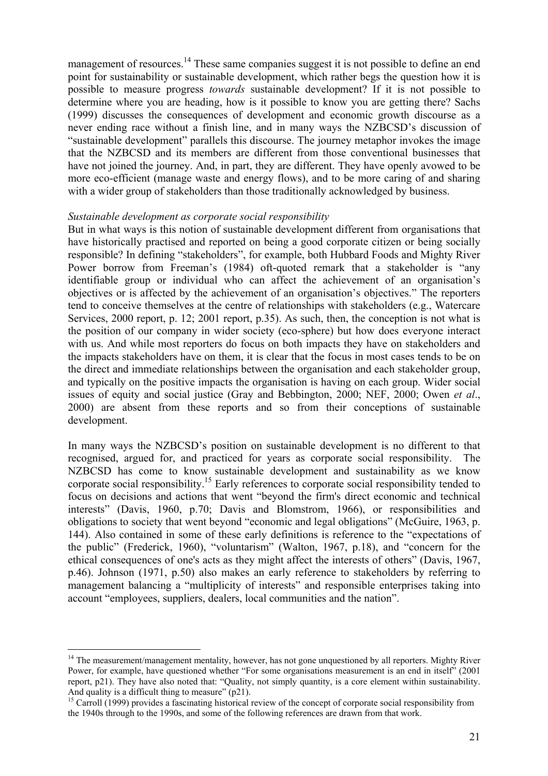management of resources.<sup>14</sup> These same companies suggest it is not possible to define an end point for sustainability or sustainable development, which rather begs the question how it is possible to measure progress *towards* sustainable development? If it is not possible to determine where you are heading, how is it possible to know you are getting there? Sachs (1999) discusses the consequences of development and economic growth discourse as a never ending race without a finish line, and in many ways the NZBCSD's discussion of "sustainable development" parallels this discourse. The journey metaphor invokes the image that the NZBCSD and its members are different from those conventional businesses that have not joined the journey. And, in part, they are different. They have openly avowed to be more eco-efficient (manage waste and energy flows), and to be more caring of and sharing with a wider group of stakeholders than those traditionally acknowledged by business.

#### *Sustainable development as corporate social responsibility*

But in what ways is this notion of sustainable development different from organisations that have historically practised and reported on being a good corporate citizen or being socially responsible? In defining "stakeholders", for example, both Hubbard Foods and Mighty River Power borrow from Freeman's (1984) oft-quoted remark that a stakeholder is "any identifiable group or individual who can affect the achievement of an organisation's objectives or is affected by the achievement of an organisation's objectives." The reporters tend to conceive themselves at the centre of relationships with stakeholders (e.g., Watercare Services, 2000 report, p. 12; 2001 report, p.35). As such, then, the conception is not what is the position of our company in wider society (eco-sphere) but how does everyone interact with us. And while most reporters do focus on both impacts they have on stakeholders and the impacts stakeholders have on them, it is clear that the focus in most cases tends to be on the direct and immediate relationships between the organisation and each stakeholder group, and typically on the positive impacts the organisation is having on each group. Wider social issues of equity and social justice (Gray and Bebbington, 2000; NEF, 2000; Owen *et al*., 2000) are absent from these reports and so from their conceptions of sustainable development.

In many ways the NZBCSD's position on sustainable development is no different to that recognised, argued for, and practiced for years as corporate social responsibility. The NZBCSD has come to know sustainable development and sustainability as we know corporate social responsibility.15 Early references to corporate social responsibility tended to focus on decisions and actions that went "beyond the firm's direct economic and technical interests" (Davis, 1960, p.70; Davis and Blomstrom, 1966), or responsibilities and obligations to society that went beyond "economic and legal obligations" (McGuire, 1963, p. 144). Also contained in some of these early definitions is reference to the "expectations of the public" (Frederick, 1960), "voluntarism" (Walton, 1967, p.18), and "concern for the ethical consequences of one's acts as they might affect the interests of others" (Davis, 1967, p.46). Johnson (1971, p.50) also makes an early reference to stakeholders by referring to management balancing a "multiplicity of interests" and responsible enterprises taking into account "employees, suppliers, dealers, local communities and the nation".

 $\overline{a}$ 

<sup>&</sup>lt;sup>14</sup> The measurement/management mentality, however, has not gone unquestioned by all reporters. Mighty River Power, for example, have questioned whether "For some organisations measurement is an end in itself" (2001) report, p21). They have also noted that: "Quality, not simply quantity, is a core element within sustainability. And quality is a difficult thing to measure" (p21).

<sup>&</sup>lt;sup>15</sup> Carroll (1999) provides a fascinating historical review of the concept of corporate social responsibility from the 1940s through to the 1990s, and some of the following references are drawn from that work.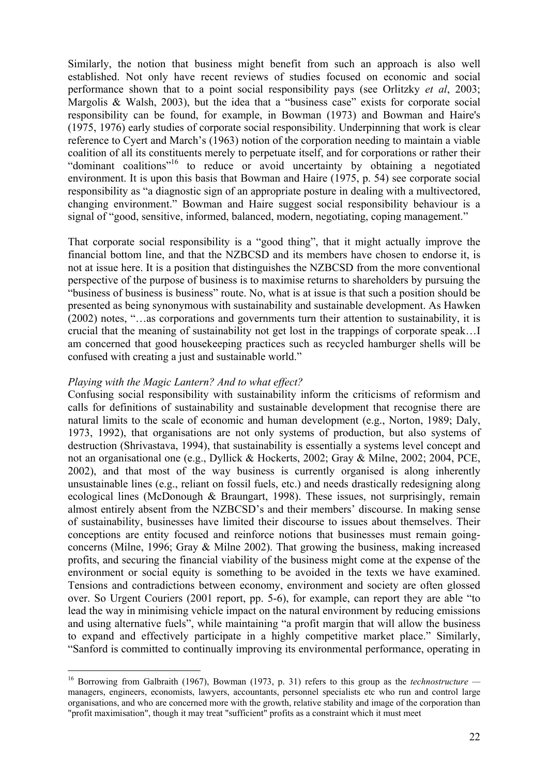Similarly, the notion that business might benefit from such an approach is also well established. Not only have recent reviews of studies focused on economic and social performance shown that to a point social responsibility pays (see Orlitzky *et al*, 2003; Margolis & Walsh, 2003), but the idea that a "business case" exists for corporate social responsibility can be found, for example, in Bowman (1973) and Bowman and Haire's (1975, 1976) early studies of corporate social responsibility. Underpinning that work is clear reference to Cyert and March's (1963) notion of the corporation needing to maintain a viable coalition of all its constituents merely to perpetuate itself, and for corporations or rather their "dominant coalitions"16 to reduce or avoid uncertainty by obtaining a negotiated environment. It is upon this basis that Bowman and Haire (1975, p. 54) see corporate social responsibility as "a diagnostic sign of an appropriate posture in dealing with a multivectored, changing environment." Bowman and Haire suggest social responsibility behaviour is a signal of "good, sensitive, informed, balanced, modern, negotiating, coping management."

That corporate social responsibility is a "good thing", that it might actually improve the financial bottom line, and that the NZBCSD and its members have chosen to endorse it, is not at issue here. It is a position that distinguishes the NZBCSD from the more conventional perspective of the purpose of business is to maximise returns to shareholders by pursuing the "business of business is business" route. No, what is at issue is that such a position should be presented as being synonymous with sustainability and sustainable development. As Hawken (2002) notes, "…as corporations and governments turn their attention to sustainability, it is crucial that the meaning of sustainability not get lost in the trappings of corporate speak…I am concerned that good housekeeping practices such as recycled hamburger shells will be confused with creating a just and sustainable world."

#### *Playing with the Magic Lantern? And to what effect?*

 $\overline{a}$ 

Confusing social responsibility with sustainability inform the criticisms of reformism and calls for definitions of sustainability and sustainable development that recognise there are natural limits to the scale of economic and human development (e.g., Norton, 1989; Daly, 1973, 1992), that organisations are not only systems of production, but also systems of destruction (Shrivastava, 1994), that sustainability is essentially a systems level concept and not an organisational one (e.g., Dyllick & Hockerts, 2002; Gray & Milne, 2002; 2004, PCE, 2002), and that most of the way business is currently organised is along inherently unsustainable lines (e.g., reliant on fossil fuels, etc.) and needs drastically redesigning along ecological lines (McDonough & Braungart, 1998). These issues, not surprisingly, remain almost entirely absent from the NZBCSD's and their members' discourse. In making sense of sustainability, businesses have limited their discourse to issues about themselves. Their conceptions are entity focused and reinforce notions that businesses must remain goingconcerns (Milne, 1996; Gray & Milne 2002). That growing the business, making increased profits, and securing the financial viability of the business might come at the expense of the environment or social equity is something to be avoided in the texts we have examined. Tensions and contradictions between economy, environment and society are often glossed over. So Urgent Couriers (2001 report, pp. 5-6), for example, can report they are able "to lead the way in minimising vehicle impact on the natural environment by reducing emissions and using alternative fuels", while maintaining "a profit margin that will allow the business to expand and effectively participate in a highly competitive market place." Similarly, "Sanford is committed to continually improving its environmental performance, operating in

<sup>16</sup> Borrowing from Galbraith (1967), Bowman (1973, p. 31) refers to this group as the *technostructure*  managers, engineers, economists, lawyers, accountants, personnel specialists etc who run and control large organisations, and who are concerned more with the growth, relative stability and image of the corporation than "profit maximisation", though it may treat "sufficient" profits as a constraint which it must meet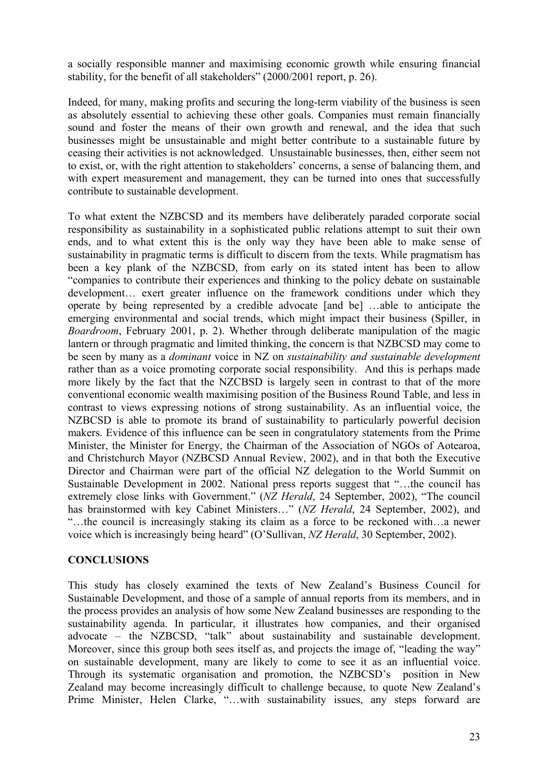a socially responsible manner and maximising economic growth while ensuring financial stability, for the benefit of all stakeholders" (2000/2001 report, p. 26).

Indeed, for many, making profits and securing the long-term viability of the business is seen as absolutely essential to achieving these other goals. Companies must remain financially sound and foster the means of their own growth and renewal, and the idea that such businesses might be unsustainable and might better contribute to a sustainable future by ceasing their activities is not acknowledged. Unsustainable businesses, then, either seem not to exist, or, with the right attention to stakeholders' concerns, a sense of balancing them, and with expert measurement and management, they can be turned into ones that successfully contribute to sustainable development.

To what extent the NZBCSD and its members have deliberately paraded corporate social responsibility as sustainability in a sophisticated public relations attempt to suit their own ends, and to what extent this is the only way they have been able to make sense of sustainability in pragmatic terms is difficult to discern from the texts. While pragmatism has been a key plank of the NZBCSD, from early on its stated intent has been to allow "companies to contribute their experiences and thinking to the policy debate on sustainable development… exert greater influence on the framework conditions under which they operate by being represented by a credible advocate [and be] …able to anticipate the emerging environmental and social trends, which might impact their business (Spiller, in *Boardroom*, February 2001, p. 2). Whether through deliberate manipulation of the magic lantern or through pragmatic and limited thinking, the concern is that NZBCSD may come to be seen by many as a *dominant* voice in NZ on *sustainability and sustainable development*  rather than as a voice promoting corporate social responsibility. And this is perhaps made more likely by the fact that the NZCBSD is largely seen in contrast to that of the more conventional economic wealth maximising position of the Business Round Table, and less in contrast to views expressing notions of strong sustainability. As an influential voice, the NZBCSD is able to promote its brand of sustainability to particularly powerful decision makers. Evidence of this influence can be seen in congratulatory statements from the Prime Minister, the Minister for Energy, the Chairman of the Association of NGOs of Aotearoa, and Christchurch Mayor (NZBCSD Annual Review, 2002), and in that both the Executive Director and Chairman were part of the official NZ delegation to the World Summit on Sustainable Development in 2002. National press reports suggest that "…the council has extremely close links with Government." (*NZ Herald*, 24 September, 2002), "The council has brainstormed with key Cabinet Ministers…" (*NZ Herald*, 24 September, 2002), and "…the council is increasingly staking its claim as a force to be reckoned with…a newer voice which is increasingly being heard" (O'Sullivan, *NZ Herald*, 30 September, 2002).

## **CONCLUSIONS**

This study has closely examined the texts of New Zealand's Business Council for Sustainable Development, and those of a sample of annual reports from its members, and in the process provides an analysis of how some New Zealand businesses are responding to the sustainability agenda. In particular, it illustrates how companies, and their organised advocate – the NZBCSD, "talk" about sustainability and sustainable development. Moreover, since this group both sees itself as, and projects the image of, "leading the way" on sustainable development, many are likely to come to see it as an influential voice. Through its systematic organisation and promotion, the NZBCSD's position in New Zealand may become increasingly difficult to challenge because, to quote New Zealand's Prime Minister, Helen Clarke, "…with sustainability issues, any steps forward are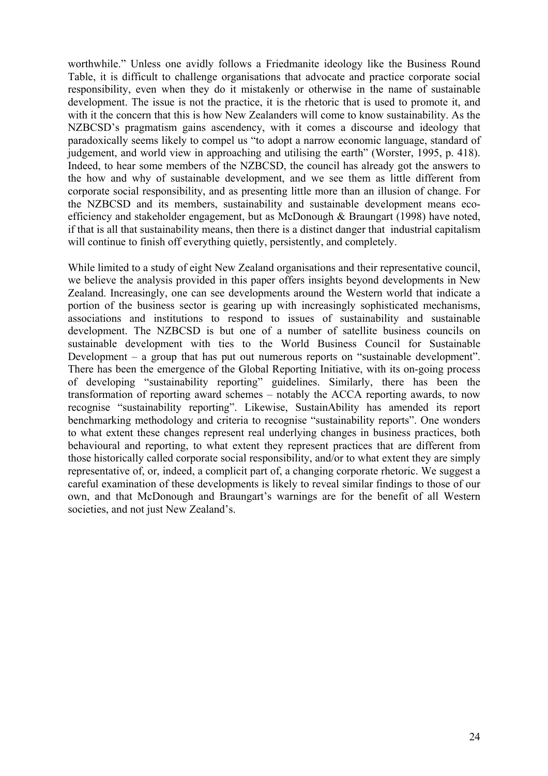worthwhile." Unless one avidly follows a Friedmanite ideology like the Business Round Table, it is difficult to challenge organisations that advocate and practice corporate social responsibility, even when they do it mistakenly or otherwise in the name of sustainable development. The issue is not the practice, it is the rhetoric that is used to promote it, and with it the concern that this is how New Zealanders will come to know sustainability. As the NZBCSD's pragmatism gains ascendency, with it comes a discourse and ideology that paradoxically seems likely to compel us "to adopt a narrow economic language, standard of judgement, and world view in approaching and utilising the earth" (Worster, 1995, p. 418). Indeed, to hear some members of the NZBCSD, the council has already got the answers to the how and why of sustainable development, and we see them as little different from corporate social responsibility, and as presenting little more than an illusion of change. For the NZBCSD and its members, sustainability and sustainable development means ecoefficiency and stakeholder engagement, but as McDonough & Braungart (1998) have noted, if that is all that sustainability means, then there is a distinct danger that industrial capitalism will continue to finish off everything quietly, persistently, and completely.

While limited to a study of eight New Zealand organisations and their representative council, we believe the analysis provided in this paper offers insights beyond developments in New Zealand. Increasingly, one can see developments around the Western world that indicate a portion of the business sector is gearing up with increasingly sophisticated mechanisms, associations and institutions to respond to issues of sustainability and sustainable development. The NZBCSD is but one of a number of satellite business councils on sustainable development with ties to the World Business Council for Sustainable Development – a group that has put out numerous reports on "sustainable development". There has been the emergence of the Global Reporting Initiative, with its on-going process of developing "sustainability reporting" guidelines. Similarly, there has been the transformation of reporting award schemes – notably the ACCA reporting awards, to now recognise "sustainability reporting". Likewise, SustainAbility has amended its report benchmarking methodology and criteria to recognise "sustainability reports". One wonders to what extent these changes represent real underlying changes in business practices, both behavioural and reporting, to what extent they represent practices that are different from those historically called corporate social responsibility, and/or to what extent they are simply representative of, or, indeed, a complicit part of, a changing corporate rhetoric. We suggest a careful examination of these developments is likely to reveal similar findings to those of our own, and that McDonough and Braungart's warnings are for the benefit of all Western societies, and not just New Zealand's.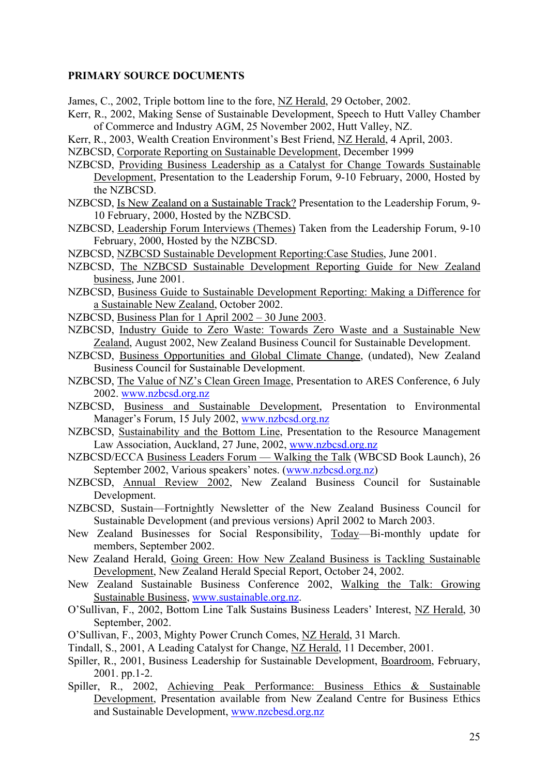# **PRIMARY SOURCE DOCUMENTS**

James, C., 2002, Triple bottom line to the fore, NZ Herald, 29 October, 2002.

- Kerr, R., 2002, Making Sense of Sustainable Development, Speech to Hutt Valley Chamber of Commerce and Industry AGM, 25 November 2002, Hutt Valley, NZ.
- Kerr, R., 2003, Wealth Creation Environment's Best Friend, NZ Herald, 4 April, 2003.
- NZBCSD, Corporate Reporting on Sustainable Development, December 1999
- NZBCSD, Providing Business Leadership as a Catalyst for Change Towards Sustainable Development, Presentation to the Leadership Forum, 9-10 February, 2000, Hosted by the NZBCSD.
- NZBCSD, Is New Zealand on a Sustainable Track? Presentation to the Leadership Forum, 9- 10 February, 2000, Hosted by the NZBCSD.
- NZBCSD, Leadership Forum Interviews (Themes) Taken from the Leadership Forum, 9-10 February, 2000, Hosted by the NZBCSD.
- NZBCSD, NZBCSD Sustainable Development Reporting:Case Studies, June 2001.
- NZBCSD, The NZBCSD Sustainable Development Reporting Guide for New Zealand business, June 2001.
- NZBCSD, Business Guide to Sustainable Development Reporting: Making a Difference for a Sustainable New Zealand, October 2002.
- NZBCSD, Business Plan for 1 April 2002 30 June 2003.
- NZBCSD, Industry Guide to Zero Waste: Towards Zero Waste and a Sustainable New Zealand, August 2002, New Zealand Business Council for Sustainable Development.
- NZBCSD, Business Opportunities and Global Climate Change, (undated), New Zealand Business Council for Sustainable Development.
- NZBCSD, The Value of NZ's Clean Green Image, Presentation to ARES Conference, 6 July 2002. www.nzbcsd.org.nz
- NZBCSD, Business and Sustainable Development, Presentation to Environmental Manager's Forum, 15 July 2002, www.nzbcsd.org.nz
- NZBCSD, Sustainability and the Bottom Line, Presentation to the Resource Management Law Association, Auckland, 27 June, 2002, www.nzbcsd.org.nz
- NZBCSD/ECCA Business Leaders Forum Walking the Talk (WBCSD Book Launch), 26 September 2002, Various speakers' notes. (www.nzbcsd.org.nz)
- NZBCSD, Annual Review 2002, New Zealand Business Council for Sustainable Development.
- NZBCSD, Sustain—Fortnightly Newsletter of the New Zealand Business Council for Sustainable Development (and previous versions) April 2002 to March 2003.
- New Zealand Businesses for Social Responsibility, Today—Bi-monthly update for members, September 2002.
- New Zealand Herald, Going Green: How New Zealand Business is Tackling Sustainable Development, New Zealand Herald Special Report, October 24, 2002.
- New Zealand Sustainable Business Conference 2002, Walking the Talk: Growing Sustainable Business, www.sustainable.org.nz.
- O'Sullivan, F., 2002, Bottom Line Talk Sustains Business Leaders' Interest, NZ Herald, 30 September, 2002.
- O'Sullivan, F., 2003, Mighty Power Crunch Comes, NZ Herald, 31 March.
- Tindall, S., 2001, A Leading Catalyst for Change, NZ Herald, 11 December, 2001.
- Spiller, R., 2001, Business Leadership for Sustainable Development, Boardroom, February, 2001. pp.1-2.
- Spiller, R., 2002, Achieving Peak Performance: Business Ethics & Sustainable Development, Presentation available from New Zealand Centre for Business Ethics and Sustainable Development, www.nzcbesd.org.nz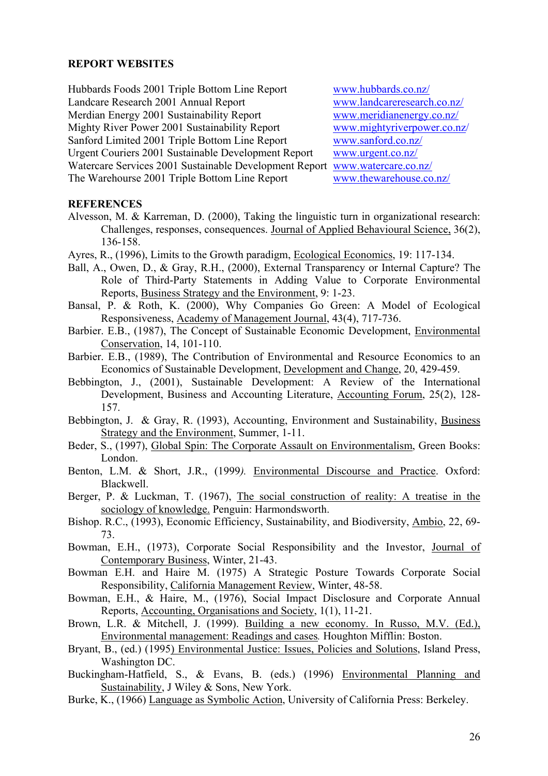#### **REPORT WEBSITES**

Hubbards Foods 2001 Triple Bottom Line Report www.hubbards.co.nz/ Landcare Research 2001 Annual Report www.landcareresearch.co.nz/<br>
Merdian Energy 2001 Sustainability Report www.meridianenergy.co.nz/ Merdian Energy 2001 Sustainability Report Mighty River Power 2001 Sustainability Report www.mightyriverpower.co.nz/ Sanford Limited 2001 Triple Bottom Line Report www.sanford.co.nz/ Urgent Couriers 2001 Sustainable Development Report www.urgent.co.nz/ Watercare Services 2001 Sustainable Development Report www.watercare.co.nz/ The Warehourse 2001 Triple Bottom Line Report www.thewarehouse.co.nz/

#### **REFERENCES**

- Alvesson, M. & Karreman, D. (2000), Taking the linguistic turn in organizational research: Challenges, responses, consequences. Journal of Applied Behavioural Science, 36(2), 136-158.
- Ayres, R., (1996), Limits to the Growth paradigm, Ecological Economics, 19: 117-134.
- Ball, A., Owen, D., & Gray, R.H., (2000), External Transparency or Internal Capture? The Role of Third-Party Statements in Adding Value to Corporate Environmental Reports, Business Strategy and the Environment, 9: 1-23.
- Bansal, P. & Roth, K. (2000), Why Companies Go Green: A Model of Ecological Responsiveness, Academy of Management Journal, 43(4), 717-736.
- Barbier. E.B., (1987), The Concept of Sustainable Economic Development, Environmental Conservation, 14, 101-110.
- Barbier. E.B., (1989), The Contribution of Environmental and Resource Economics to an Economics of Sustainable Development, Development and Change, 20, 429-459.
- Bebbington, J., (2001), Sustainable Development: A Review of the International Development, Business and Accounting Literature, Accounting Forum, 25(2), 128- 157.
- Bebbington, J. & Gray, R. (1993), Accounting, Environment and Sustainability, Business Strategy and the Environment, Summer, 1-11.
- Beder, S., (1997), Global Spin: The Corporate Assault on Environmentalism, Green Books: London.
- Benton, L.M. & Short, J.R., (1999*).* Environmental Discourse and Practice. Oxford: Blackwell.
- Berger, P. & Luckman, T. (1967), The social construction of reality: A treatise in the sociology of knowledge. Penguin: Harmondsworth.
- Bishop. R.C., (1993), Economic Efficiency, Sustainability, and Biodiversity, Ambio, 22, 69- 73.
- Bowman, E.H., (1973), Corporate Social Responsibility and the Investor, Journal of Contemporary Business, Winter, 21-43.
- Bowman E.H. and Haire M. (1975) A Strategic Posture Towards Corporate Social Responsibility, California Management Review, Winter, 48-58.
- Bowman, E.H., & Haire, M., (1976), Social Impact Disclosure and Corporate Annual Reports, Accounting, Organisations and Society, 1(1), 11-21.
- Brown, L.R. & Mitchell, J. (1999). Building a new economy. In Russo, M.V. (Ed.), Environmental management: Readings and cases*.* Houghton Mifflin: Boston.
- Bryant, B., (ed.) (1995) Environmental Justice: Issues, Policies and Solutions, Island Press, Washington DC.
- Buckingham-Hatfield, S., & Evans, B. (eds.) (1996) Environmental Planning and Sustainability, J Wiley & Sons, New York.
- Burke, K., (1966) Language as Symbolic Action, University of California Press: Berkeley.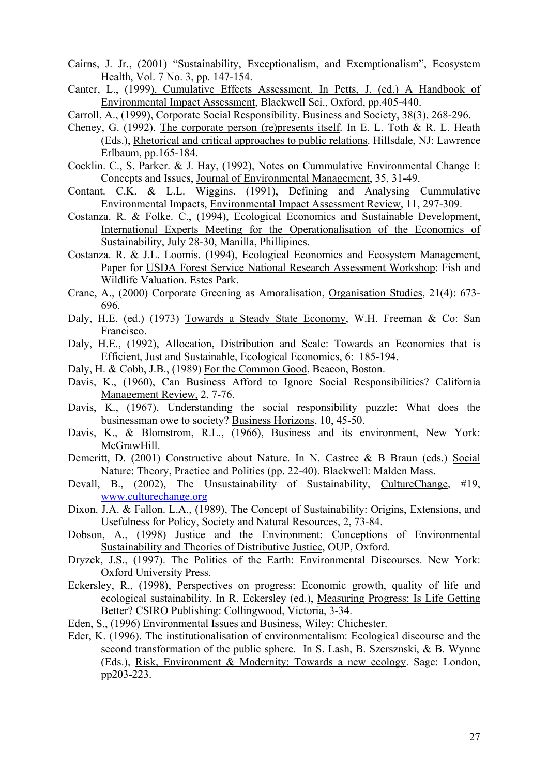- Cairns, J. Jr., (2001) "Sustainability, Exceptionalism, and Exemptionalism", Ecosystem Health, Vol. 7 No. 3, pp. 147-154.
- Canter, L., (1999), Cumulative Effects Assessment. In Petts, J. (ed.) A Handbook of Environmental Impact Assessment, Blackwell Sci., Oxford, pp.405-440.
- Carroll, A., (1999), Corporate Social Responsibility, Business and Society, 38(3), 268-296.
- Cheney, G. (1992). The corporate person (re)presents itself. In E. L. Toth & R. L. Heath (Eds.), Rhetorical and critical approaches to public relations. Hillsdale, NJ: Lawrence Erlbaum, pp.165-184.
- Cocklin. C., S. Parker. & J. Hay, (1992), Notes on Cummulative Environmental Change I: Concepts and Issues, Journal of Environmental Management, 35, 31-49.
- Contant. C.K. & L.L. Wiggins. (1991), Defining and Analysing Cummulative Environmental Impacts, Environmental Impact Assessment Review, 11, 297-309.
- Costanza. R. & Folke. C., (1994), Ecological Economics and Sustainable Development, International Experts Meeting for the Operationalisation of the Economics of Sustainability, July 28-30, Manilla, Phillipines.
- Costanza. R. & J.L. Loomis. (1994), Ecological Economics and Ecosystem Management, Paper for USDA Forest Service National Research Assessment Workshop: Fish and Wildlife Valuation. Estes Park.
- Crane, A., (2000) Corporate Greening as Amoralisation, Organisation Studies, 21(4): 673- 696.
- Daly, H.E. (ed.) (1973) Towards a Steady State Economy, W.H. Freeman & Co: San Francisco.
- Daly, H.E., (1992), Allocation, Distribution and Scale: Towards an Economics that is Efficient, Just and Sustainable, Ecological Economics, 6: 185-194.
- Daly, H. & Cobb, J.B., (1989) For the Common Good, Beacon, Boston.
- Davis, K., (1960), Can Business Afford to Ignore Social Responsibilities? California Management Review, 2, 7-76.
- Davis, K., (1967), Understanding the social responsibility puzzle: What does the businessman owe to society? Business Horizons, 10, 45-50.
- Davis, K., & Blomstrom, R.L., (1966), Business and its environment, New York: McGrawHill.
- Demeritt, D. (2001) Constructive about Nature. In N. Castree & B Braun (eds.) Social Nature: Theory, Practice and Politics (pp. 22-40). Blackwell: Malden Mass.
- Devall, B., (2002), The Unsustainability of Sustainability, CultureChange, #19, www.culturechange.org
- Dixon. J.A. & Fallon. L.A., (1989), The Concept of Sustainability: Origins, Extensions, and Usefulness for Policy, Society and Natural Resources, 2, 73-84.
- Dobson, A., (1998) Justice and the Environment: Conceptions of Environmental Sustainability and Theories of Distributive Justice, OUP, Oxford.
- Dryzek, J.S., (1997). The Politics of the Earth: Environmental Discourses. New York: Oxford University Press.
- Eckersley, R., (1998), Perspectives on progress: Economic growth, quality of life and ecological sustainability. In R. Eckersley (ed.), Measuring Progress: Is Life Getting Better? CSIRO Publishing: Collingwood, Victoria, 3-34.
- Eden, S., (1996) Environmental Issues and Business, Wiley: Chichester.
- Eder, K. (1996). The institutionalisation of environmentalism: Ecological discourse and the second transformation of the public sphere. In S. Lash, B. Szersznski, & B. Wynne (Eds.), Risk, Environment & Modernity: Towards a new ecology. Sage: London, pp203-223.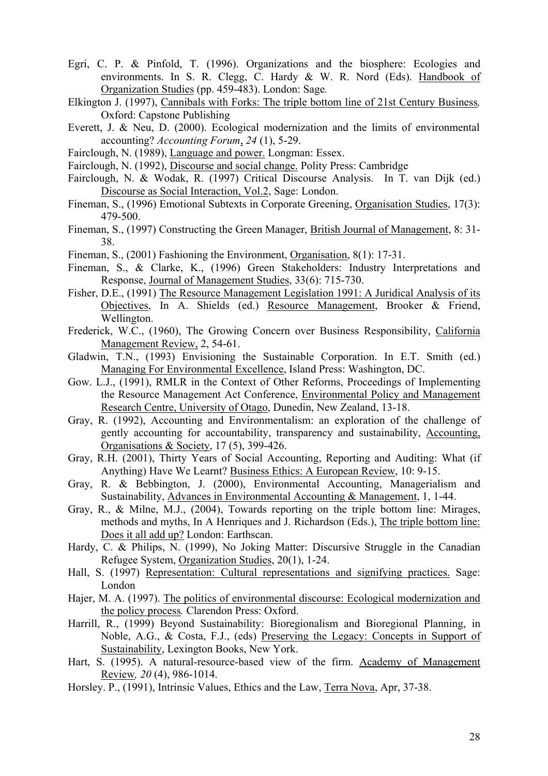- Egri, C. P. & Pinfold, T. (1996). Organizations and the biosphere: Ecologies and environments. In S. R. Clegg, C. Hardy & W. R. Nord (Eds). Handbook of Organization Studies (pp. 459-483). London: Sage*.*
- Elkington J. (1997), Cannibals with Forks: The triple bottom line of 21st Century Business*,* Oxford: Capstone Publishing
- Everett, J. & Neu, D. (2000). Ecological modernization and the limits of environmental accounting? *Accounting Forum*, *24* (1), 5-29.
- Fairclough, N. (1989), Language and power. Longman: Essex.
- Fairclough, N. (1992), Discourse and social change. Polity Press: Cambridge
- Fairclough, N. & Wodak, R. (1997) Critical Discourse Analysis. In T. van Dijk (ed.) Discourse as Social Interaction, Vol.2, Sage: London.
- Fineman, S., (1996) Emotional Subtexts in Corporate Greening, Organisation Studies, 17(3): 479-500.
- Fineman, S., (1997) Constructing the Green Manager, British Journal of Management, 8: 31- 38.
- Fineman, S., (2001) Fashioning the Environment, Organisation, 8(1): 17-31.
- Fineman, S., & Clarke, K., (1996) Green Stakeholders: Industry Interpretations and Response, Journal of Management Studies, 33(6): 715-730.
- Fisher, D.E., (1991) The Resource Management Legislation 1991: A Juridical Analysis of its Objectives, In A. Shields (ed.) Resource Management, Brooker & Friend, Wellington.
- Frederick, W.C., (1960), The Growing Concern over Business Responsibility, California Management Review, 2, 54-61.
- Gladwin, T.N., (1993) Envisioning the Sustainable Corporation. In E.T. Smith (ed.) Managing For Environmental Excellence, Island Press: Washington, DC.
- Gow. L.J., (1991), RMLR in the Context of Other Reforms, Proceedings of Implementing the Resource Management Act Conference, Environmental Policy and Management Research Centre, University of Otago, Dunedin, New Zealand, 13-18.
- Gray, R. (1992), Accounting and Environmentalism: an exploration of the challenge of gently accounting for accountability, transparency and sustainability, Accounting, Organisations & Society, 17 (5), 399-426.
- Gray, R.H. (2001), Thirty Years of Social Accounting, Reporting and Auditing: What (if Anything) Have We Learnt? Business Ethics: A European Review, 10: 9-15.
- Gray, R. & Bebbington, J. (2000), Environmental Accounting, Managerialism and Sustainability, Advances in Environmental Accounting & Management, 1, 1-44.
- Gray, R., & Milne, M.J., (2004), Towards reporting on the triple bottom line: Mirages, methods and myths, In A Henriques and J. Richardson (Eds.), The triple bottom line: Does it all add up? London: Earthscan.
- Hardy, C. & Philips, N. (1999), No Joking Matter: Discursive Struggle in the Canadian Refugee System, Organization Studies, 20(1), 1-24.
- Hall, S. (1997) Representation: Cultural representations and signifying practices. Sage: London
- Hajer, M. A. (1997). The politics of environmental discourse: Ecological modernization and the policy process*.* Clarendon Press: Oxford.
- Harrill, R., (1999) Beyond Sustainability: Bioregionalism and Bioregional Planning, in Noble, A.G., & Costa, F.J., (eds) Preserving the Legacy: Concepts in Support of Sustainability, Lexington Books, New York.
- Hart, S. (1995). A natural-resource-based view of the firm. Academy of Management Review*, 20* (4), 986-1014.
- Horsley. P., (1991), Intrinsic Values, Ethics and the Law, Terra Nova, Apr, 37-38.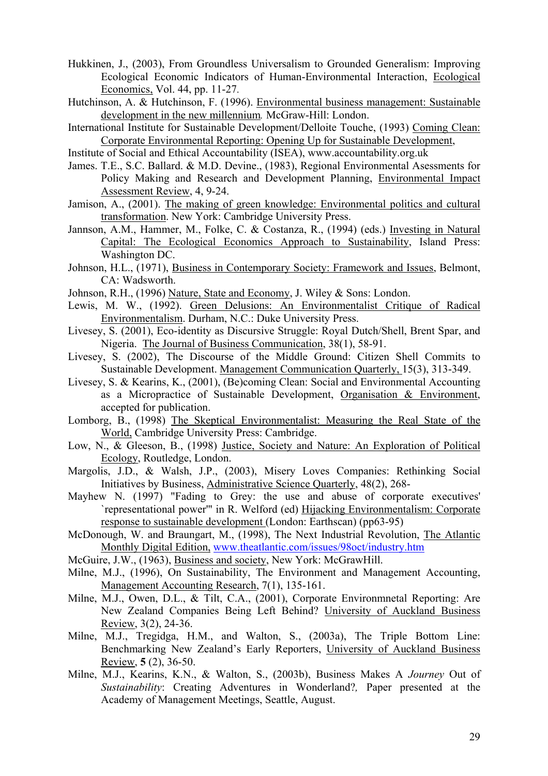- Hukkinen, J., (2003), From Groundless Universalism to Grounded Generalism: Improving Ecological Economic Indicators of Human-Environmental Interaction, Ecological Economics, Vol. 44, pp. 11-27.
- Hutchinson, A. & Hutchinson, F. (1996). Environmental business management: Sustainable development in the new millennium*.* McGraw-Hill: London.
- International Institute for Sustainable Development/Delloite Touche, (1993) Coming Clean: Corporate Environmental Reporting: Opening Up for Sustainable Development,
- Institute of Social and Ethical Accountability (ISEA), www.accountability.org.uk
- James. T.E., S.C. Ballard. & M.D. Devine., (1983), Regional Environmental Asessments for Policy Making and Research and Development Planning, Environmental Impact Assessment Review, 4, 9-24.
- Jamison, A., (2001). The making of green knowledge: Environmental politics and cultural transformation. New York: Cambridge University Press.
- Jannson, A.M., Hammer, M., Folke, C. & Costanza, R., (1994) (eds.) Investing in Natural Capital: The Ecological Economics Approach to Sustainability, Island Press: Washington DC.
- Johnson, H.L., (1971), Business in Contemporary Society: Framework and Issues, Belmont, CA: Wadsworth.
- Johnson, R.H., (1996) Nature, State and Economy, J. Wiley & Sons: London.
- Lewis, M. W., (1992). Green Delusions: An Environmentalist Critique of Radical Environmentalism. Durham, N.C.: Duke University Press.
- Livesey, S. (2001), Eco-identity as Discursive Struggle: Royal Dutch/Shell, Brent Spar, and Nigeria. The Journal of Business Communication, 38(1), 58-91.
- Livesey, S. (2002), The Discourse of the Middle Ground: Citizen Shell Commits to Sustainable Development. Management Communication Quarterly, 15(3), 313-349.
- Livesey, S. & Kearins, K., (2001), (Be)coming Clean: Social and Environmental Accounting as a Micropractice of Sustainable Development, Organisation & Environment, accepted for publication.
- Lomborg, B., (1998) The Skeptical Environmentalist: Measuring the Real State of the World, Cambridge University Press: Cambridge.
- Low, N., & Gleeson, B., (1998) Justice, Society and Nature: An Exploration of Political Ecology, Routledge, London.
- Margolis, J.D., & Walsh, J.P., (2003), Misery Loves Companies: Rethinking Social Initiatives by Business, Administrative Science Quarterly, 48(2), 268-
- Mayhew N. (1997) "Fading to Grey: the use and abuse of corporate executives' `representational power'" in R. Welford (ed) Hijacking Environmentalism: Corporate response to sustainable development (London: Earthscan) (pp63-95)
- McDonough, W. and Braungart, M., (1998), The Next Industrial Revolution, The Atlantic Monthly Digital Edition, www.theatlantic.com/issues/98oct/industry.htm
- McGuire, J.W., (1963), Business and society, New York: McGrawHill.
- Milne, M.J., (1996), On Sustainability, The Environment and Management Accounting, Management Accounting Research, 7(1), 135-161.
- Milne, M.J., Owen, D.L., & Tilt, C.A., (2001), Corporate Environmnetal Reporting: Are New Zealand Companies Being Left Behind? University of Auckland Business Review, 3(2), 24-36.
- Milne, M.J., Tregidga, H.M., and Walton, S., (2003a), The Triple Bottom Line: Benchmarking New Zealand's Early Reporters, University of Auckland Business Review, **5** (2), 36-50.
- Milne, M.J., Kearins, K.N., & Walton, S., (2003b), Business Makes A *Journey* Out of *Sustainability*: Creating Adventures in Wonderland?*,* Paper presented at the Academy of Management Meetings, Seattle, August.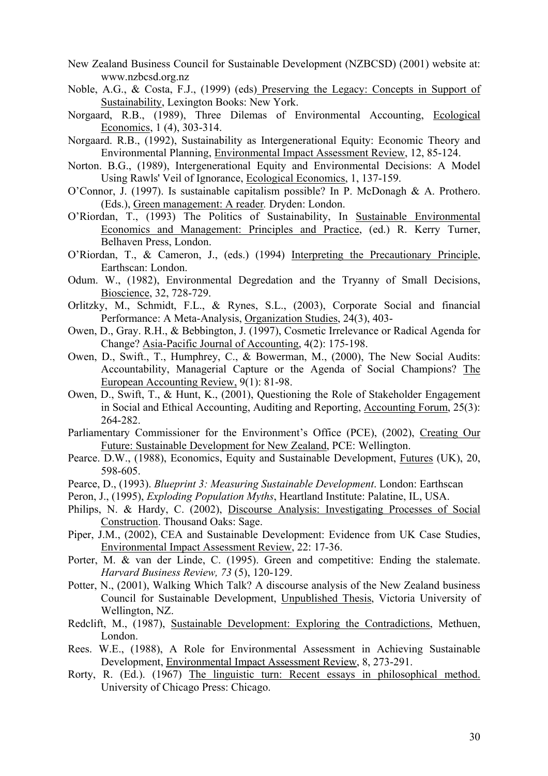- New Zealand Business Council for Sustainable Development (NZBCSD) (2001) website at: www.nzbcsd.org.nz
- Noble, A.G., & Costa, F.J., (1999) (eds) Preserving the Legacy: Concepts in Support of Sustainability, Lexington Books: New York.
- Norgaard, R.B., (1989), Three Dilemas of Environmental Accounting, Ecological Economics, 1 (4), 303-314.
- Norgaard. R.B., (1992), Sustainability as Intergenerational Equity: Economic Theory and Environmental Planning, Environmental Impact Assessment Review, 12, 85-124.
- Norton. B.G., (1989), Intergenerational Equity and Environmental Decisions: A Model Using Rawls' Veil of Ignorance, Ecological Economics, 1, 137-159.
- O'Connor, J. (1997). Is sustainable capitalism possible? In P. McDonagh & A. Prothero. (Eds.), Green management: A reader*.* Dryden: London.
- O'Riordan, T., (1993) The Politics of Sustainability, In Sustainable Environmental Economics and Management: Principles and Practice, (ed.) R. Kerry Turner, Belhaven Press, London.
- O'Riordan, T., & Cameron, J., (eds.) (1994) Interpreting the Precautionary Principle, Earthscan: London.
- Odum. W., (1982), Environmental Degredation and the Tryanny of Small Decisions, Bioscience, 32, 728-729.
- Orlitzky, M., Schmidt, F.L., & Rynes, S.L., (2003), Corporate Social and financial Performance: A Meta-Analysis, Organization Studies, 24(3), 403-
- Owen, D., Gray. R.H., & Bebbington, J. (1997), Cosmetic Irrelevance or Radical Agenda for Change? Asia-Pacific Journal of Accounting, 4(2): 175-198.
- Owen, D., Swift., T., Humphrey, C., & Bowerman, M., (2000), The New Social Audits: Accountability, Managerial Capture or the Agenda of Social Champions? The European Accounting Review, 9(1): 81-98.
- Owen, D., Swift, T., & Hunt, K., (2001), Questioning the Role of Stakeholder Engagement in Social and Ethical Accounting, Auditing and Reporting, Accounting Forum, 25(3): 264-282.
- Parliamentary Commissioner for the Environment's Office (PCE), (2002), Creating Our Future: Sustainable Development for New Zealand, PCE: Wellington.
- Pearce. D.W., (1988), Economics, Equity and Sustainable Development, Futures (UK), 20, 598-605.
- Pearce, D., (1993). *Blueprint 3: Measuring Sustainable Development*. London: Earthscan
- Peron, J., (1995), *Exploding Population Myths*, Heartland Institute: Palatine, IL, USA.
- Philips, N. & Hardy, C. (2002), Discourse Analysis: Investigating Processes of Social Construction. Thousand Oaks: Sage.
- Piper, J.M., (2002), CEA and Sustainable Development: Evidence from UK Case Studies, Environmental Impact Assessment Review, 22: 17-36.
- Porter, M. & van der Linde, C. (1995). Green and competitive: Ending the stalemate. *Harvard Business Review, 73* (5), 120-129.
- Potter, N., (2001), Walking Which Talk? A discourse analysis of the New Zealand business Council for Sustainable Development, Unpublished Thesis, Victoria University of Wellington, NZ.
- Redclift, M., (1987), Sustainable Development: Exploring the Contradictions, Methuen, London.
- Rees. W.E., (1988), A Role for Environmental Assessment in Achieving Sustainable Development, Environmental Impact Assessment Review, 8, 273-291.
- Rorty, R. (Ed.). (1967) The linguistic turn: Recent essays in philosophical method. University of Chicago Press: Chicago.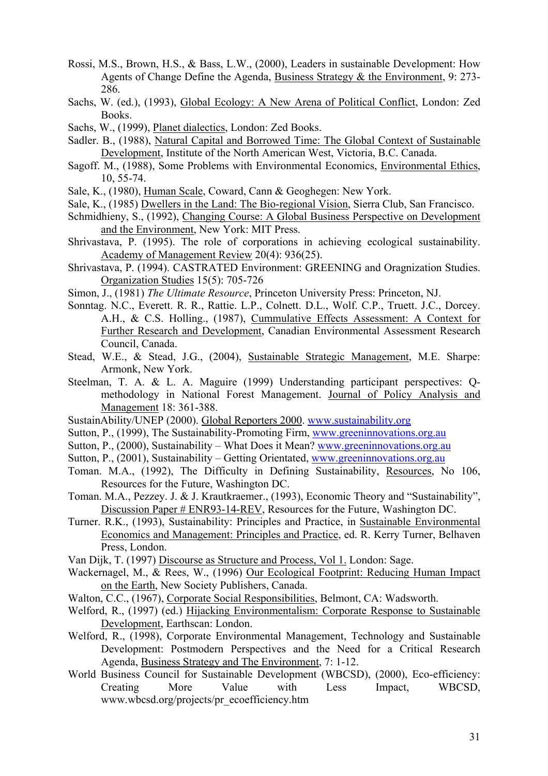- Rossi, M.S., Brown, H.S., & Bass, L.W., (2000), Leaders in sustainable Development: How Agents of Change Define the Agenda, Business Strategy & the Environment, 9: 273- 286.
- Sachs, W. (ed.), (1993), Global Ecology: A New Arena of Political Conflict, London: Zed Books.
- Sachs, W., (1999), Planet dialectics, London: Zed Books.
- Sadler. B., (1988), Natural Capital and Borrowed Time: The Global Context of Sustainable Development, Institute of the North American West, Victoria, B.C. Canada.
- Sagoff. M., (1988), Some Problems with Environmental Economics, Environmental Ethics, 10, 55-74.
- Sale, K., (1980), Human Scale, Coward, Cann & Geoghegen: New York.
- Sale, K., (1985) Dwellers in the Land: The Bio-regional Vision, Sierra Club, San Francisco.
- Schmidhieny, S., (1992), Changing Course: A Global Business Perspective on Development and the Environment, New York: MIT Press.
- Shrivastava, P. (1995). The role of corporations in achieving ecological sustainability. Academy of Management Review 20(4): 936(25).
- Shrivastava, P. (1994). CASTRATED Environment: GREENING and Oragnization Studies. Organization Studies 15(5): 705-726
- Simon, J., (1981) *The Ultimate Resource*, Princeton University Press: Princeton, NJ.
- Sonntag. N.C., Everett. R. R., Rattie. L.P., Colnett. D.L., Wolf. C.P., Truett. J.C., Dorcey. A.H., & C.S. Holling., (1987), Cummulative Effects Assessment: A Context for Further Research and Development, Canadian Environmental Assessment Research Council, Canada.
- Stead, W.E., & Stead, J.G., (2004), Sustainable Strategic Management, M.E. Sharpe: Armonk, New York.
- Steelman, T. A. & L. A. Maguire (1999) Understanding participant perspectives: Qmethodology in National Forest Management. Journal of Policy Analysis and Management 18: 361-388.
- SustainAbility/UNEP (2000). Global Reporters 2000. www.sustainability.org
- Sutton, P., (1999), The Sustainability-Promoting Firm, www.greeninnovations.org.au
- Sutton, P., (2000), Sustainability What Does it Mean? www.greeninnovations.org.au
- Sutton, P., (2001), Sustainability Getting Orientated, www.greeninnovations.org.au
- Toman. M.A., (1992), The Difficulty in Defining Sustainability, Resources, No 106, Resources for the Future, Washington DC.
- Toman. M.A., Pezzey. J. & J. Krautkraemer., (1993), Economic Theory and "Sustainability", Discussion Paper # ENR93-14-REV, Resources for the Future, Washington DC.
- Turner. R.K., (1993), Sustainability: Principles and Practice, in Sustainable Environmental Economics and Management: Principles and Practice, ed. R. Kerry Turner, Belhaven Press, London.
- Van Dijk, T. (1997) Discourse as Structure and Process, Vol 1. London: Sage.
- Wackernagel, M., & Rees, W., (1996) Our Ecological Footprint: Reducing Human Impact on the Earth, New Society Publishers, Canada.
- Walton, C.C., (1967), Corporate Social Responsibilities, Belmont, CA: Wadsworth.
- Welford, R., (1997) (ed.) Hijacking Environmentalism: Corporate Response to Sustainable Development, Earthscan: London.
- Welford, R., (1998), Corporate Environmental Management, Technology and Sustainable Development: Postmodern Perspectives and the Need for a Critical Research Agenda, Business Strategy and The Environment, 7: 1-12.
- World Business Council for Sustainable Development (WBCSD), (2000), Eco-efficiency: Creating More Value with Less Impact, WBCSD, www.wbcsd.org/projects/pr\_ecoefficiency.htm